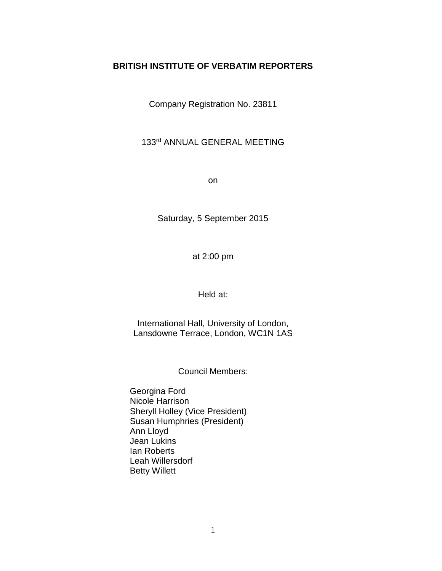# **BRITISH INSTITUTE OF VERBATIM REPORTERS**

Company Registration No. 23811

# 133rd ANNUAL GENERAL MEETING

on

Saturday, 5 September 2015

at 2:00 pm

Held at:

International Hall, University of London, Lansdowne Terrace, London, WC1N 1AS

Council Members:

Georgina Ford Nicole Harrison Sheryll Holley (Vice President) Susan Humphries (President) Ann Lloyd Jean Lukins Ian Roberts Leah Willersdorf Betty Willett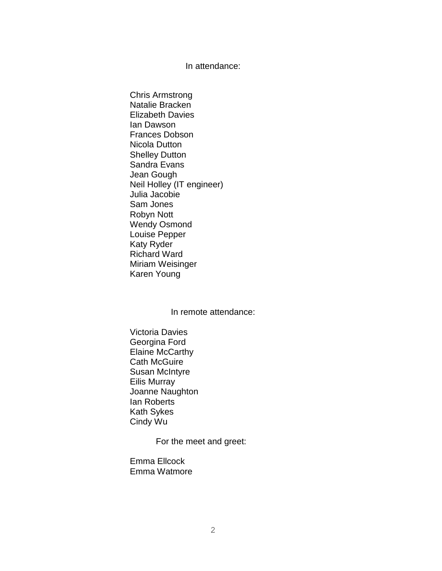### In attendance:

Chris Armstrong Natalie Bracken Elizabeth Davies Ian Dawson Frances Dobson Nicola Dutton Shelley Dutton Sandra Evans Jean Gough Neil Holley (IT engineer) Julia Jacobie Sam Jones Robyn Nott Wendy Osmond Louise Pepper Katy Ryder Richard Ward Miriam Weisinger Karen Young

## In remote attendance:

Victoria Davies Georgina Ford Elaine McCarthy Cath McGuire Susan McIntyre Eilis Murray Joanne Naughton Ian Roberts Kath Sykes Cindy Wu

For the meet and greet:

Emma Ellcock Emma Watmore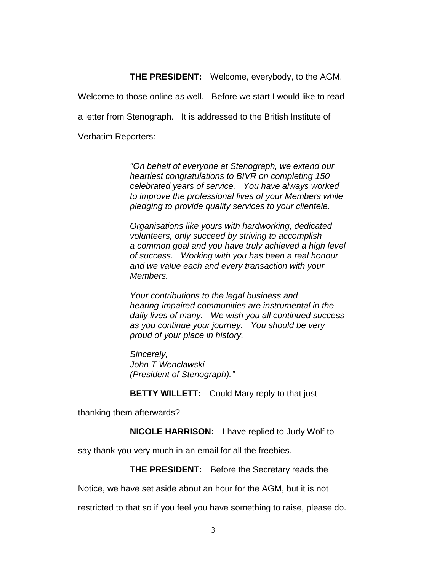## **THE PRESIDENT:** Welcome, everybody, to the AGM.

Welcome to those online as well. Before we start I would like to read a letter from Stenograph. It is addressed to the British Institute of Verbatim Reporters:

> *"On behalf of everyone at Stenograph, we extend our heartiest congratulations to BIVR on completing 150 celebrated years of service. You have always worked to improve the professional lives of your Members while pledging to provide quality services to your clientele.*

*Organisations like yours with hardworking, dedicated volunteers, only succeed by striving to accomplish a common goal and you have truly achieved a high level of success. Working with you has been a real honour and we value each and every transaction with your Members.* 

*Your contributions to the legal business and hearing-impaired communities are instrumental in the daily lives of many. We wish you all continued success as you continue your journey. You should be very proud of your place in history.* 

*Sincerely, John T Wenclawski (President of Stenograph)."*

**BETTY WILLETT:** Could Mary reply to that just

thanking them afterwards?

**NICOLE HARRISON:** I have replied to Judy Wolf to

say thank you very much in an email for all the freebies.

**THE PRESIDENT:** Before the Secretary reads the

Notice, we have set aside about an hour for the AGM, but it is not

restricted to that so if you feel you have something to raise, please do.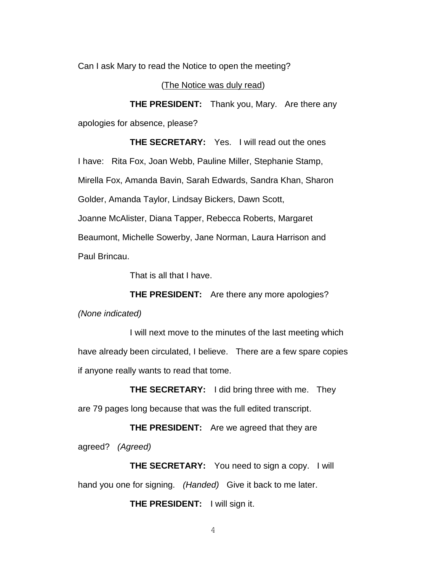Can I ask Mary to read the Notice to open the meeting?

(The Notice was duly read)

**THE PRESIDENT:** Thank you, Mary. Are there any apologies for absence, please?

**THE SECRETARY:** Yes. I will read out the ones I have: Rita Fox, Joan Webb, Pauline Miller, Stephanie Stamp, Mirella Fox, Amanda Bavin, Sarah Edwards, Sandra Khan, Sharon Golder, Amanda Taylor, Lindsay Bickers, Dawn Scott, Joanne McAlister, Diana Tapper, Rebecca Roberts, Margaret Beaumont, Michelle Sowerby, Jane Norman, Laura Harrison and Paul Brincau.

That is all that I have.

**THE PRESIDENT:** Are there any more apologies? *(None indicated)*

I will next move to the minutes of the last meeting which have already been circulated, I believe. There are a few spare copies if anyone really wants to read that tome.

**THE SECRETARY:** I did bring three with me. They are 79 pages long because that was the full edited transcript.

**THE PRESIDENT:** Are we agreed that they are agreed? *(Agreed)*

**THE SECRETARY:** You need to sign a copy. I will hand you one for signing. *(Handed)* Give it back to me later.

**THE PRESIDENT:** I will sign it.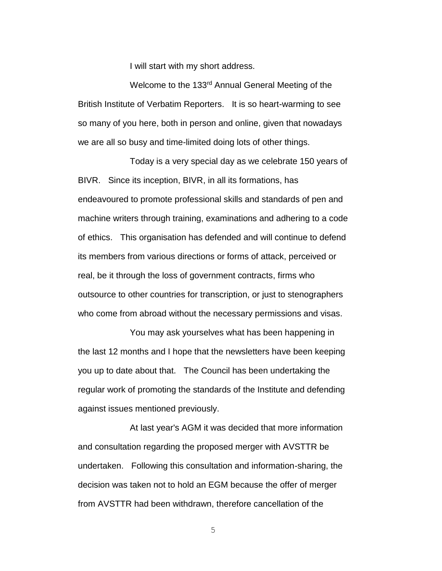I will start with my short address.

Welcome to the 133rd Annual General Meeting of the British Institute of Verbatim Reporters. It is so heart-warming to see so many of you here, both in person and online, given that nowadays we are all so busy and time-limited doing lots of other things.

Today is a very special day as we celebrate 150 years of BIVR. Since its inception, BIVR, in all its formations, has endeavoured to promote professional skills and standards of pen and machine writers through training, examinations and adhering to a code of ethics. This organisation has defended and will continue to defend its members from various directions or forms of attack, perceived or real, be it through the loss of government contracts, firms who outsource to other countries for transcription, or just to stenographers who come from abroad without the necessary permissions and visas.

You may ask yourselves what has been happening in the last 12 months and I hope that the newsletters have been keeping you up to date about that. The Council has been undertaking the regular work of promoting the standards of the Institute and defending against issues mentioned previously.

At last year's AGM it was decided that more information and consultation regarding the proposed merger with AVSTTR be undertaken. Following this consultation and information-sharing, the decision was taken not to hold an EGM because the offer of merger from AVSTTR had been withdrawn, therefore cancellation of the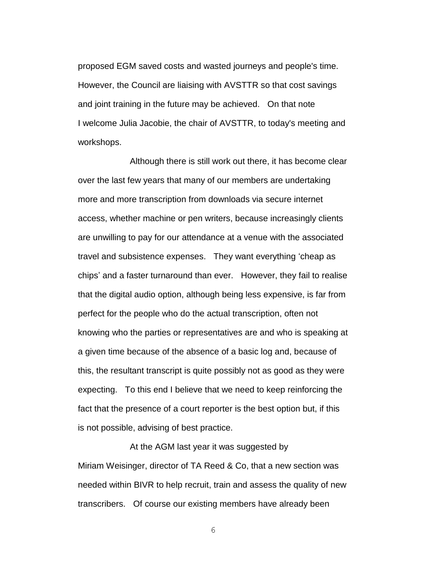proposed EGM saved costs and wasted journeys and people's time. However, the Council are liaising with AVSTTR so that cost savings and joint training in the future may be achieved. On that note I welcome Julia Jacobie, the chair of AVSTTR, to today's meeting and workshops.

Although there is still work out there, it has become clear over the last few years that many of our members are undertaking more and more transcription from downloads via secure internet access, whether machine or pen writers, because increasingly clients are unwilling to pay for our attendance at a venue with the associated travel and subsistence expenses. They want everything 'cheap as chips' and a faster turnaround than ever. However, they fail to realise that the digital audio option, although being less expensive, is far from perfect for the people who do the actual transcription, often not knowing who the parties or representatives are and who is speaking at a given time because of the absence of a basic log and, because of this, the resultant transcript is quite possibly not as good as they were expecting. To this end I believe that we need to keep reinforcing the fact that the presence of a court reporter is the best option but, if this is not possible, advising of best practice.

At the AGM last year it was suggested by Miriam Weisinger, director of TA Reed & Co, that a new section was needed within BIVR to help recruit, train and assess the quality of new transcribers. Of course our existing members have already been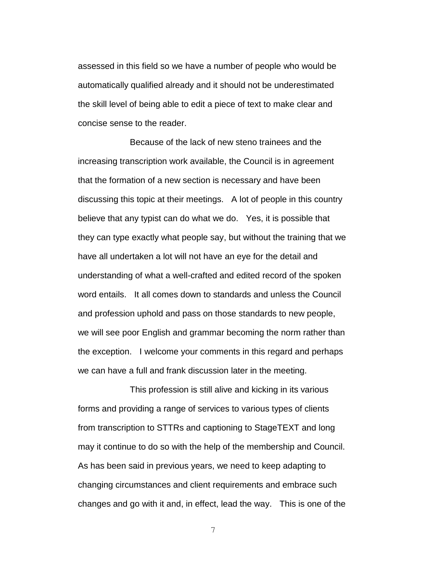assessed in this field so we have a number of people who would be automatically qualified already and it should not be underestimated the skill level of being able to edit a piece of text to make clear and concise sense to the reader.

Because of the lack of new steno trainees and the increasing transcription work available, the Council is in agreement that the formation of a new section is necessary and have been discussing this topic at their meetings. A lot of people in this country believe that any typist can do what we do. Yes, it is possible that they can type exactly what people say, but without the training that we have all undertaken a lot will not have an eye for the detail and understanding of what a well-crafted and edited record of the spoken word entails. It all comes down to standards and unless the Council and profession uphold and pass on those standards to new people, we will see poor English and grammar becoming the norm rather than the exception. I welcome your comments in this regard and perhaps we can have a full and frank discussion later in the meeting.

This profession is still alive and kicking in its various forms and providing a range of services to various types of clients from transcription to STTRs and captioning to StageTEXT and long may it continue to do so with the help of the membership and Council. As has been said in previous years, we need to keep adapting to changing circumstances and client requirements and embrace such changes and go with it and, in effect, lead the way. This is one of the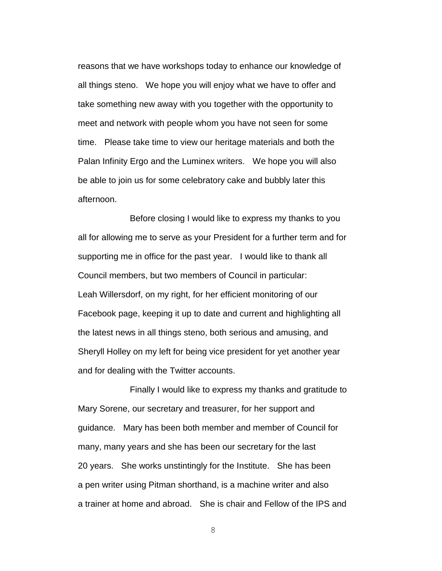reasons that we have workshops today to enhance our knowledge of all things steno. We hope you will enjoy what we have to offer and take something new away with you together with the opportunity to meet and network with people whom you have not seen for some time. Please take time to view our heritage materials and both the Palan Infinity Ergo and the Luminex writers. We hope you will also be able to join us for some celebratory cake and bubbly later this afternoon.

Before closing I would like to express my thanks to you all for allowing me to serve as your President for a further term and for supporting me in office for the past year. I would like to thank all Council members, but two members of Council in particular: Leah Willersdorf, on my right, for her efficient monitoring of our Facebook page, keeping it up to date and current and highlighting all the latest news in all things steno, both serious and amusing, and Sheryll Holley on my left for being vice president for yet another year and for dealing with the Twitter accounts.

Finally I would like to express my thanks and gratitude to Mary Sorene, our secretary and treasurer, for her support and guidance. Mary has been both member and member of Council for many, many years and she has been our secretary for the last 20 years. She works unstintingly for the Institute. She has been a pen writer using Pitman shorthand, is a machine writer and also a trainer at home and abroad. She is chair and Fellow of the IPS and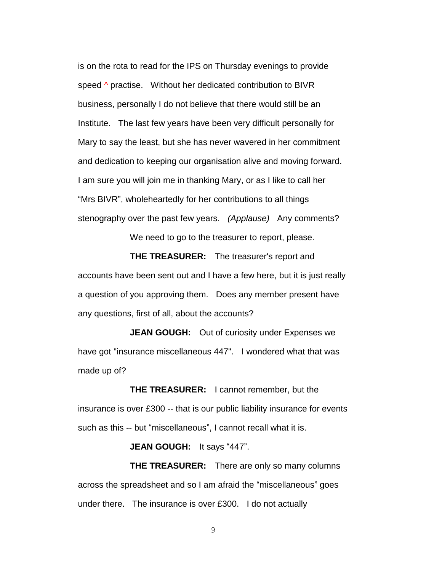is on the rota to read for the IPS on Thursday evenings to provide speed  $\land$  practise. Without her dedicated contribution to BIVR business, personally I do not believe that there would still be an Institute. The last few years have been very difficult personally for Mary to say the least, but she has never wavered in her commitment and dedication to keeping our organisation alive and moving forward. I am sure you will join me in thanking Mary, or as I like to call her "Mrs BIVR", wholeheartedly for her contributions to all things stenography over the past few years. *(Applause)* Any comments?

We need to go to the treasurer to report, please.

**THE TREASURER:** The treasurer's report and accounts have been sent out and I have a few here, but it is just really a question of you approving them. Does any member present have any questions, first of all, about the accounts?

**JEAN GOUGH:** Out of curiosity under Expenses we have got "insurance miscellaneous 447". I wondered what that was made up of?

**THE TREASURER:** I cannot remember, but the insurance is over £300 -- that is our public liability insurance for events such as this -- but "miscellaneous", I cannot recall what it is.

**JEAN GOUGH:** It says "447".

**THE TREASURER:** There are only so many columns across the spreadsheet and so I am afraid the "miscellaneous" goes under there. The insurance is over £300. I do not actually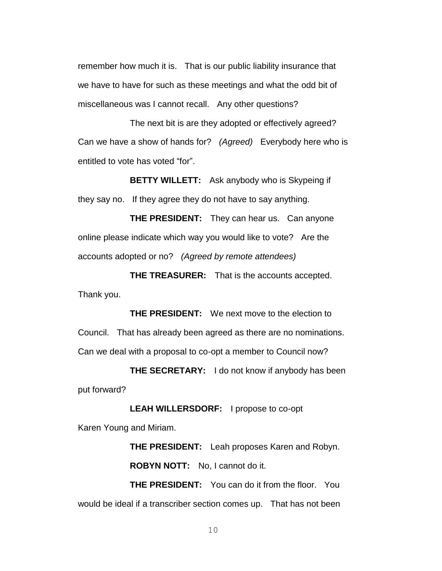remember how much it is. That is our public liability insurance that we have to have for such as these meetings and what the odd bit of miscellaneous was I cannot recall. Any other questions?

The next bit is are they adopted or effectively agreed? Can we have a show of hands for? *(Agreed)* Everybody here who is entitled to vote has voted "for".

**BETTY WILLETT:** Ask anybody who is Skypeing if they say no. If they agree they do not have to say anything.

**THE PRESIDENT:** They can hear us. Can anyone online please indicate which way you would like to vote? Are the accounts adopted or no? *(Agreed by remote attendees)*

**THE TREASURER:** That is the accounts accepted. Thank you.

**THE PRESIDENT:** We next move to the election to Council. That has already been agreed as there are no nominations. Can we deal with a proposal to co-opt a member to Council now?

**THE SECRETARY:** I do not know if anybody has been put forward?

**LEAH WILLERSDORF:** I propose to co-opt Karen Young and Miriam.

> **THE PRESIDENT:** Leah proposes Karen and Robyn. **ROBYN NOTT:** No, I cannot do it.

**THE PRESIDENT:** You can do it from the floor. You would be ideal if a transcriber section comes up. That has not been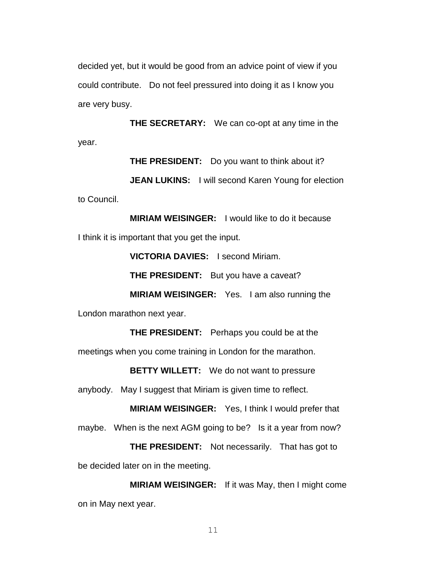decided yet, but it would be good from an advice point of view if you could contribute. Do not feel pressured into doing it as I know you are very busy.

**THE SECRETARY:** We can co-opt at any time in the year.

**THE PRESIDENT:** Do you want to think about it?

**JEAN LUKINS:** I will second Karen Young for election to Council.

**MIRIAM WEISINGER:** I would like to do it because I think it is important that you get the input.

**VICTORIA DAVIES:** I second Miriam.

**THE PRESIDENT:** But you have a caveat?

**MIRIAM WEISINGER:** Yes. I am also running the London marathon next year.

**THE PRESIDENT:** Perhaps you could be at the meetings when you come training in London for the marathon.

**BETTY WILLETT:** We do not want to pressure

anybody. May I suggest that Miriam is given time to reflect.

**MIRIAM WEISINGER:** Yes, I think I would prefer that maybe. When is the next AGM going to be? Is it a year from now?

**THE PRESIDENT:** Not necessarily. That has got to be decided later on in the meeting.

**MIRIAM WEISINGER:** If it was May, then I might come on in May next year.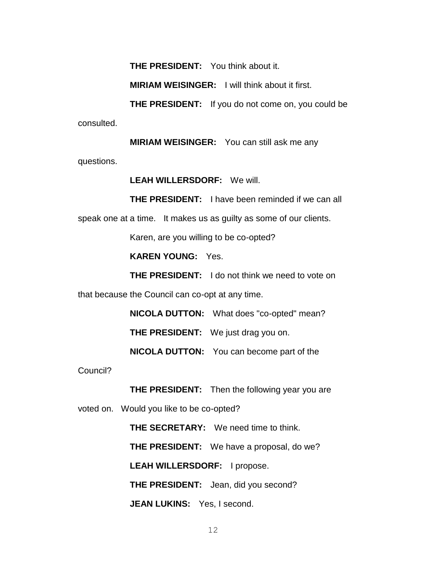**THE PRESIDENT:** You think about it.

**MIRIAM WEISINGER:** I will think about it first.

**THE PRESIDENT:** If you do not come on, you could be consulted.

**MIRIAM WEISINGER:** You can still ask me any questions.

**LEAH WILLERSDORF:** We will.

**THE PRESIDENT:** I have been reminded if we can all

speak one at a time. It makes us as guilty as some of our clients.

Karen, are you willing to be co-opted?

**KAREN YOUNG:** Yes.

**THE PRESIDENT:** I do not think we need to vote on

that because the Council can co-opt at any time.

**NICOLA DUTTON:** What does "co-opted" mean? **THE PRESIDENT:** We just drag you on. **NICOLA DUTTON:** You can become part of the

Council?

**THE PRESIDENT:** Then the following year you are

voted on. Would you like to be co-opted?

**THE SECRETARY:** We need time to think. **THE PRESIDENT:** We have a proposal, do we? **LEAH WILLERSDORF:** I propose. **THE PRESIDENT:** Jean, did you second? **JEAN LUKINS:** Yes, I second.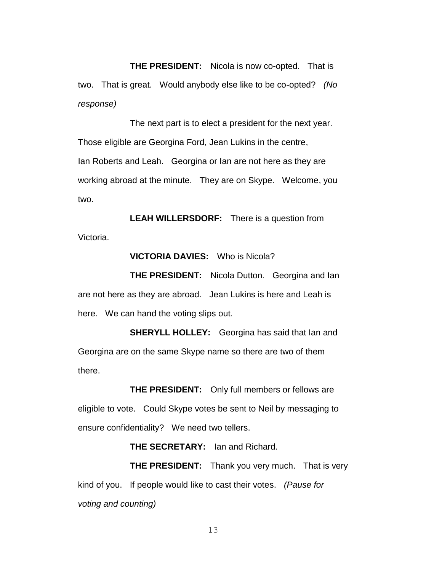**THE PRESIDENT:** Nicola is now co-opted. That is two. That is great. Would anybody else like to be co-opted? *(No response)*

The next part is to elect a president for the next year. Those eligible are Georgina Ford, Jean Lukins in the centre, Ian Roberts and Leah. Georgina or Ian are not here as they are working abroad at the minute. They are on Skype. Welcome, you two.

**LEAH WILLERSDORF:** There is a question from Victoria.

### **VICTORIA DAVIES:** Who is Nicola?

**THE PRESIDENT:** Nicola Dutton. Georgina and Ian are not here as they are abroad. Jean Lukins is here and Leah is here. We can hand the voting slips out.

**SHERYLL HOLLEY:** Georgina has said that Ian and Georgina are on the same Skype name so there are two of them there.

**THE PRESIDENT:** Only full members or fellows are eligible to vote. Could Skype votes be sent to Neil by messaging to ensure confidentiality? We need two tellers.

**THE SECRETARY:** Ian and Richard.

**THE PRESIDENT:** Thank you very much. That is very kind of you. If people would like to cast their votes. *(Pause for voting and counting)*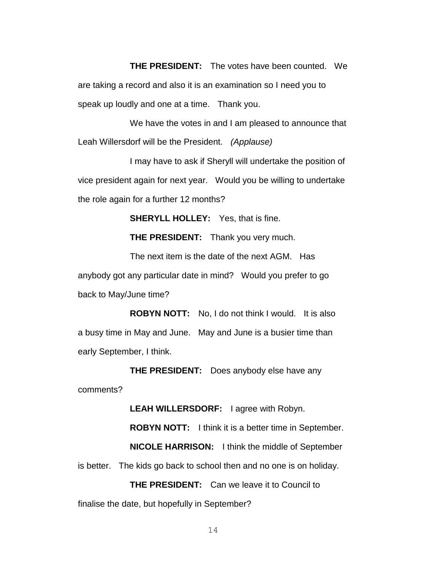**THE PRESIDENT:** The votes have been counted. We are taking a record and also it is an examination so I need you to speak up loudly and one at a time. Thank you.

We have the votes in and I am pleased to announce that Leah Willersdorf will be the President. *(Applause)* 

I may have to ask if Sheryll will undertake the position of vice president again for next year. Would you be willing to undertake the role again for a further 12 months?

**SHERYLL HOLLEY:** Yes, that is fine.

**THE PRESIDENT:** Thank you very much.

The next item is the date of the next AGM. Has anybody got any particular date in mind? Would you prefer to go back to May/June time?

**ROBYN NOTT:** No, I do not think I would. It is also a busy time in May and June. May and June is a busier time than early September, I think.

**THE PRESIDENT:** Does anybody else have any comments?

**LEAH WILLERSDORF:** I agree with Robyn.

**ROBYN NOTT:** I think it is a better time in September.

**NICOLE HARRISON:** I think the middle of September is better. The kids go back to school then and no one is on holiday.

**THE PRESIDENT:** Can we leave it to Council to finalise the date, but hopefully in September?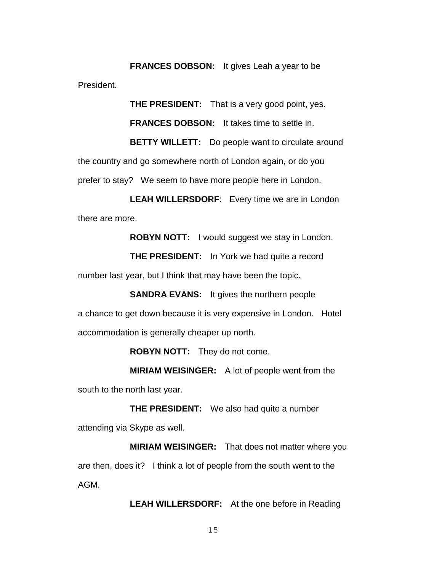**FRANCES DOBSON:** It gives Leah a year to be President.

**THE PRESIDENT:** That is a very good point, yes. **FRANCES DOBSON:** It takes time to settle in. **BETTY WILLETT:** Do people want to circulate around the country and go somewhere north of London again, or do you

prefer to stay? We seem to have more people here in London.

**LEAH WILLERSDORF**: Every time we are in London there are more.

**ROBYN NOTT:** I would suggest we stay in London.

**THE PRESIDENT:** In York we had quite a record number last year, but I think that may have been the topic.

**SANDRA EVANS:** It gives the northern people a chance to get down because it is very expensive in London. Hotel accommodation is generally cheaper up north.

**ROBYN NOTT:** They do not come.

**MIRIAM WEISINGER:** A lot of people went from the south to the north last year.

**THE PRESIDENT:** We also had quite a number attending via Skype as well.

**MIRIAM WEISINGER:** That does not matter where you are then, does it? I think a lot of people from the south went to the AGM.

**LEAH WILLERSDORF:** At the one before in Reading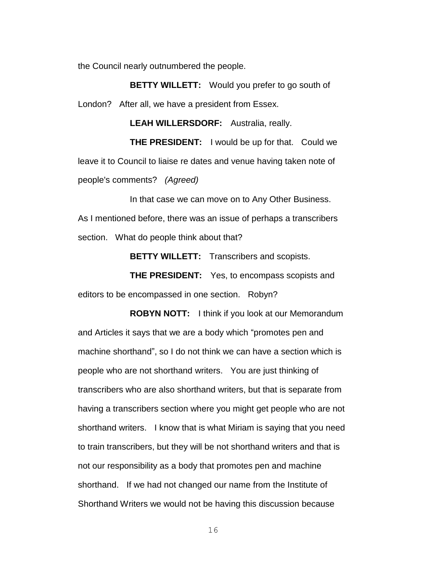the Council nearly outnumbered the people.

**BETTY WILLETT:** Would you prefer to go south of London? After all, we have a president from Essex.

**LEAH WILLERSDORF:** Australia, really.

**THE PRESIDENT:** I would be up for that. Could we leave it to Council to liaise re dates and venue having taken note of people's comments? *(Agreed)*

In that case we can move on to Any Other Business. As I mentioned before, there was an issue of perhaps a transcribers section. What do people think about that?

**BETTY WILLETT:** Transcribers and scopists.

**THE PRESIDENT:** Yes, to encompass scopists and editors to be encompassed in one section. Robyn?

**ROBYN NOTT:** I think if you look at our Memorandum and Articles it says that we are a body which "promotes pen and machine shorthand", so I do not think we can have a section which is people who are not shorthand writers. You are just thinking of transcribers who are also shorthand writers, but that is separate from having a transcribers section where you might get people who are not shorthand writers. I know that is what Miriam is saying that you need to train transcribers, but they will be not shorthand writers and that is not our responsibility as a body that promotes pen and machine shorthand. If we had not changed our name from the Institute of Shorthand Writers we would not be having this discussion because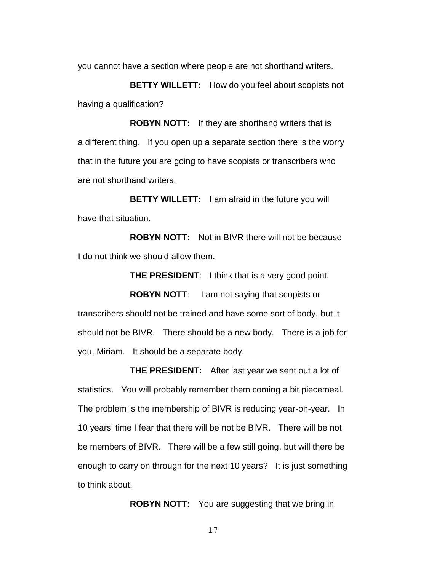you cannot have a section where people are not shorthand writers.

**BETTY WILLETT:** How do you feel about scopists not having a qualification?

**ROBYN NOTT:** If they are shorthand writers that is a different thing. If you open up a separate section there is the worry that in the future you are going to have scopists or transcribers who are not shorthand writers.

**BETTY WILLETT:** I am afraid in the future you will have that situation.

**ROBYN NOTT:** Not in BIVR there will not be because I do not think we should allow them.

**THE PRESIDENT**: I think that is a very good point.

**ROBYN NOTT**: I am not saying that scopists or transcribers should not be trained and have some sort of body, but it should not be BIVR. There should be a new body. There is a job for you, Miriam. It should be a separate body.

**THE PRESIDENT:** After last year we sent out a lot of statistics. You will probably remember them coming a bit piecemeal. The problem is the membership of BIVR is reducing year-on-year. In 10 years' time I fear that there will be not be BIVR. There will be not be members of BIVR. There will be a few still going, but will there be enough to carry on through for the next 10 years? It is just something to think about.

**ROBYN NOTT:** You are suggesting that we bring in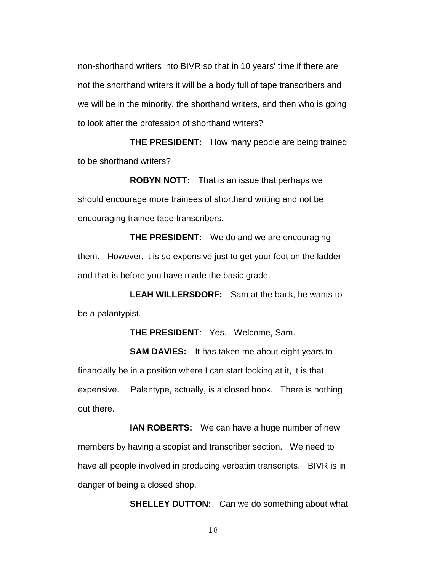non-shorthand writers into BIVR so that in 10 years' time if there are not the shorthand writers it will be a body full of tape transcribers and we will be in the minority, the shorthand writers, and then who is going to look after the profession of shorthand writers?

**THE PRESIDENT:** How many people are being trained to be shorthand writers?

**ROBYN NOTT:** That is an issue that perhaps we should encourage more trainees of shorthand writing and not be encouraging trainee tape transcribers.

**THE PRESIDENT:** We do and we are encouraging them. However, it is so expensive just to get your foot on the ladder and that is before you have made the basic grade.

**LEAH WILLERSDORF:** Sam at the back, he wants to be a palantypist.

**THE PRESIDENT**: Yes. Welcome, Sam.

**SAM DAVIES:** It has taken me about eight years to financially be in a position where I can start looking at it, it is that expensive. Palantype, actually, is a closed book. There is nothing out there.

**IAN ROBERTS:** We can have a huge number of new members by having a scopist and transcriber section. We need to have all people involved in producing verbatim transcripts. BIVR is in danger of being a closed shop.

**SHELLEY DUTTON:** Can we do something about what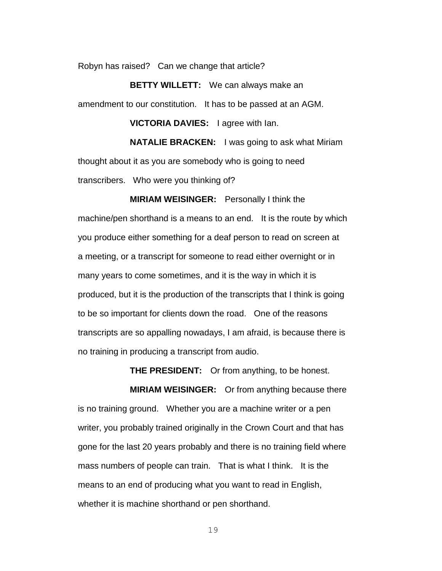Robyn has raised? Can we change that article?

**BETTY WILLETT:** We can always make an amendment to our constitution. It has to be passed at an AGM.

**VICTORIA DAVIES:** I agree with Ian.

**NATALIE BRACKEN:** I was going to ask what Miriam thought about it as you are somebody who is going to need transcribers. Who were you thinking of?

**MIRIAM WEISINGER:** Personally I think the machine/pen shorthand is a means to an end. It is the route by which you produce either something for a deaf person to read on screen at a meeting, or a transcript for someone to read either overnight or in many years to come sometimes, and it is the way in which it is produced, but it is the production of the transcripts that I think is going to be so important for clients down the road. One of the reasons transcripts are so appalling nowadays, I am afraid, is because there is no training in producing a transcript from audio.

**THE PRESIDENT:** Or from anything, to be honest.

**MIRIAM WEISINGER:** Or from anything because there is no training ground. Whether you are a machine writer or a pen writer, you probably trained originally in the Crown Court and that has gone for the last 20 years probably and there is no training field where mass numbers of people can train. That is what I think. It is the means to an end of producing what you want to read in English, whether it is machine shorthand or pen shorthand.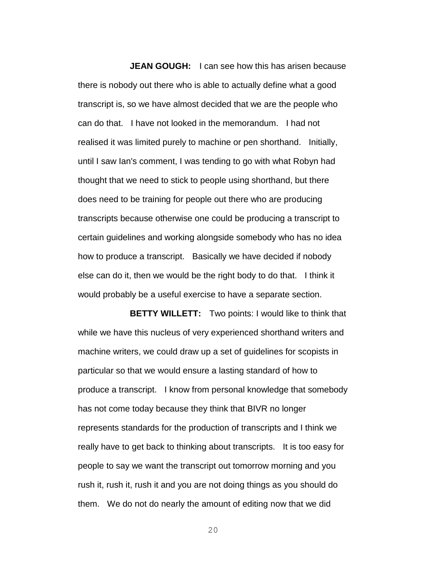**JEAN GOUGH:** I can see how this has arisen because there is nobody out there who is able to actually define what a good transcript is, so we have almost decided that we are the people who can do that. I have not looked in the memorandum. I had not realised it was limited purely to machine or pen shorthand. Initially, until I saw Ian's comment, I was tending to go with what Robyn had thought that we need to stick to people using shorthand, but there does need to be training for people out there who are producing transcripts because otherwise one could be producing a transcript to certain guidelines and working alongside somebody who has no idea how to produce a transcript. Basically we have decided if nobody else can do it, then we would be the right body to do that. I think it would probably be a useful exercise to have a separate section.

**BETTY WILLETT:** Two points: I would like to think that while we have this nucleus of very experienced shorthand writers and machine writers, we could draw up a set of guidelines for scopists in particular so that we would ensure a lasting standard of how to produce a transcript. I know from personal knowledge that somebody has not come today because they think that BIVR no longer represents standards for the production of transcripts and I think we really have to get back to thinking about transcripts. It is too easy for people to say we want the transcript out tomorrow morning and you rush it, rush it, rush it and you are not doing things as you should do them. We do not do nearly the amount of editing now that we did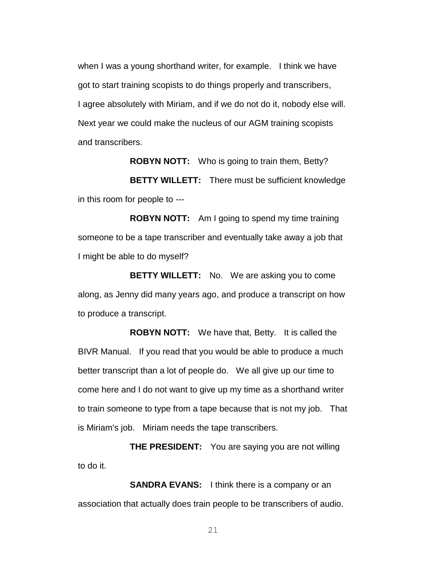when I was a young shorthand writer, for example. I think we have got to start training scopists to do things properly and transcribers, I agree absolutely with Miriam, and if we do not do it, nobody else will. Next year we could make the nucleus of our AGM training scopists and transcribers.

**ROBYN NOTT:** Who is going to train them, Betty?

**BETTY WILLETT:** There must be sufficient knowledge in this room for people to ---

**ROBYN NOTT:** Am I going to spend my time training someone to be a tape transcriber and eventually take away a job that I might be able to do myself?

**BETTY WILLETT:** No. We are asking you to come along, as Jenny did many years ago, and produce a transcript on how to produce a transcript.

**ROBYN NOTT:** We have that, Betty. It is called the BIVR Manual. If you read that you would be able to produce a much better transcript than a lot of people do. We all give up our time to come here and I do not want to give up my time as a shorthand writer to train someone to type from a tape because that is not my job. That is Miriam's job. Miriam needs the tape transcribers.

**THE PRESIDENT:** You are saying you are not willing to do it.

**SANDRA EVANS:** I think there is a company or an association that actually does train people to be transcribers of audio.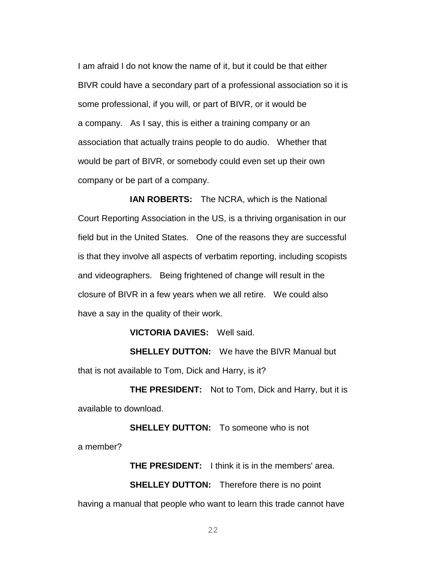I am afraid I do not know the name of it, but it could be that either BIVR could have a secondary part of a professional association so it is some professional, if you will, or part of BIVR, or it would be a company. As I say, this is either a training company or an association that actually trains people to do audio. Whether that would be part of BIVR, or somebody could even set up their own company or be part of a company.

**IAN ROBERTS:** The NCRA, which is the National Court Reporting Association in the US, is a thriving organisation in our field but in the United States. One of the reasons they are successful is that they involve all aspects of verbatim reporting, including scopists and videographers. Being frightened of change will result in the closure of BIVR in a few years when we all retire. We could also have a say in the quality of their work.

**VICTORIA DAVIES:** Well said.

**SHELLEY DUTTON:** We have the BIVR Manual but that is not available to Tom, Dick and Harry, is it?

**THE PRESIDENT:** Not to Tom, Dick and Harry, but it is available to download.

**SHELLEY DUTTON:** To someone who is not a member?

**THE PRESIDENT:** I think it is in the members' area.

**SHELLEY DUTTON:** Therefore there is no point

having a manual that people who want to learn this trade cannot have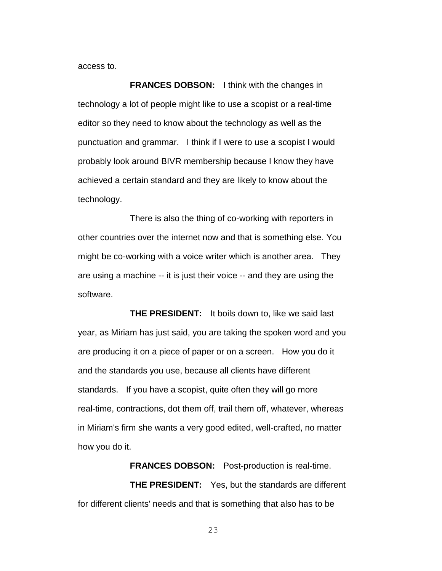access to.

**FRANCES DOBSON:** I think with the changes in technology a lot of people might like to use a scopist or a real-time editor so they need to know about the technology as well as the punctuation and grammar. I think if I were to use a scopist I would probably look around BIVR membership because I know they have achieved a certain standard and they are likely to know about the technology.

There is also the thing of co-working with reporters in other countries over the internet now and that is something else. You might be co-working with a voice writer which is another area. They are using a machine -- it is just their voice -- and they are using the software.

**THE PRESIDENT:** It boils down to, like we said last year, as Miriam has just said, you are taking the spoken word and you are producing it on a piece of paper or on a screen. How you do it and the standards you use, because all clients have different standards. If you have a scopist, quite often they will go more real-time, contractions, dot them off, trail them off, whatever, whereas in Miriam's firm she wants a very good edited, well-crafted, no matter how you do it.

**FRANCES DOBSON:** Post-production is real-time. **THE PRESIDENT:** Yes, but the standards are different for different clients' needs and that is something that also has to be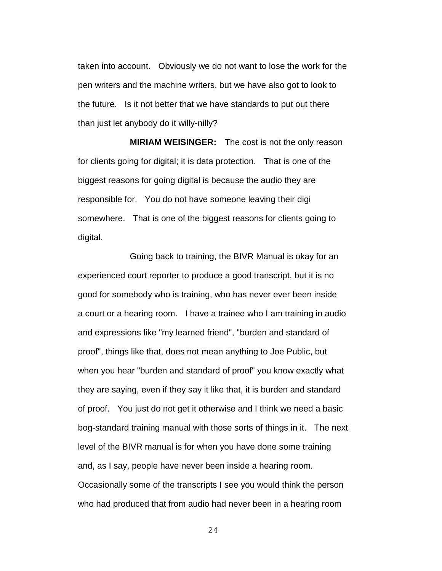taken into account. Obviously we do not want to lose the work for the pen writers and the machine writers, but we have also got to look to the future. Is it not better that we have standards to put out there than just let anybody do it willy-nilly?

**MIRIAM WEISINGER:** The cost is not the only reason for clients going for digital; it is data protection. That is one of the biggest reasons for going digital is because the audio they are responsible for. You do not have someone leaving their digi somewhere. That is one of the biggest reasons for clients going to digital.

Going back to training, the BIVR Manual is okay for an experienced court reporter to produce a good transcript, but it is no good for somebody who is training, who has never ever been inside a court or a hearing room. I have a trainee who I am training in audio and expressions like "my learned friend", "burden and standard of proof", things like that, does not mean anything to Joe Public, but when you hear "burden and standard of proof" you know exactly what they are saying, even if they say it like that, it is burden and standard of proof. You just do not get it otherwise and I think we need a basic bog-standard training manual with those sorts of things in it. The next level of the BIVR manual is for when you have done some training and, as I say, people have never been inside a hearing room. Occasionally some of the transcripts I see you would think the person who had produced that from audio had never been in a hearing room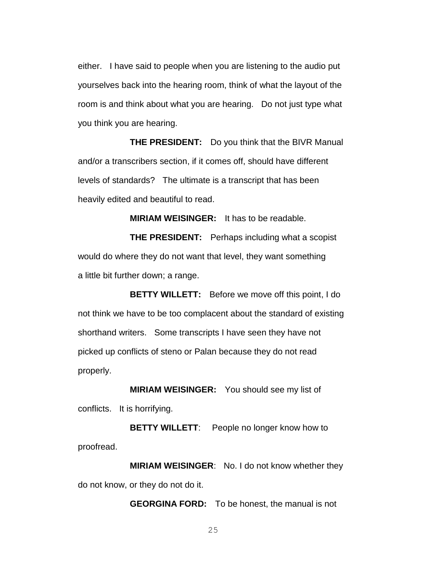either. I have said to people when you are listening to the audio put yourselves back into the hearing room, think of what the layout of the room is and think about what you are hearing. Do not just type what you think you are hearing.

**THE PRESIDENT:** Do you think that the BIVR Manual and/or a transcribers section, if it comes off, should have different levels of standards? The ultimate is a transcript that has been heavily edited and beautiful to read.

**MIRIAM WEISINGER:** It has to be readable.

**THE PRESIDENT:** Perhaps including what a scopist would do where they do not want that level, they want something a little bit further down; a range.

**BETTY WILLETT:** Before we move off this point, I do not think we have to be too complacent about the standard of existing shorthand writers. Some transcripts I have seen they have not picked up conflicts of steno or Palan because they do not read properly.

**MIRIAM WEISINGER:** You should see my list of conflicts. It is horrifying.

**BETTY WILLETT:** People no longer know how to proofread.

**MIRIAM WEISINGER**: No. I do not know whether they do not know, or they do not do it.

**GEORGINA FORD:** To be honest, the manual is not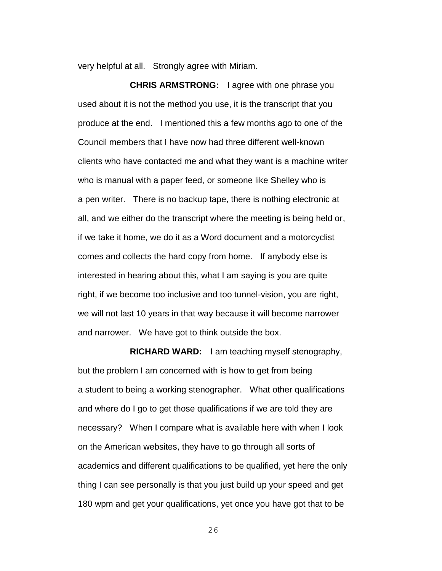very helpful at all. Strongly agree with Miriam.

**CHRIS ARMSTRONG:** I agree with one phrase you used about it is not the method you use, it is the transcript that you produce at the end. I mentioned this a few months ago to one of the Council members that I have now had three different well-known clients who have contacted me and what they want is a machine writer who is manual with a paper feed, or someone like Shelley who is a pen writer. There is no backup tape, there is nothing electronic at all, and we either do the transcript where the meeting is being held or, if we take it home, we do it as a Word document and a motorcyclist comes and collects the hard copy from home. If anybody else is interested in hearing about this, what I am saying is you are quite right, if we become too inclusive and too tunnel-vision, you are right, we will not last 10 years in that way because it will become narrower and narrower. We have got to think outside the box.

**RICHARD WARD:** I am teaching myself stenography, but the problem I am concerned with is how to get from being a student to being a working stenographer. What other qualifications and where do I go to get those qualifications if we are told they are necessary? When I compare what is available here with when I look on the American websites, they have to go through all sorts of academics and different qualifications to be qualified, yet here the only thing I can see personally is that you just build up your speed and get 180 wpm and get your qualifications, yet once you have got that to be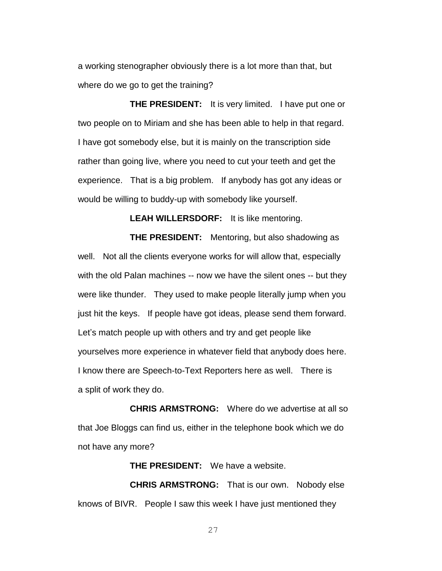a working stenographer obviously there is a lot more than that, but where do we go to get the training?

**THE PRESIDENT:** It is very limited. I have put one or two people on to Miriam and she has been able to help in that regard. I have got somebody else, but it is mainly on the transcription side rather than going live, where you need to cut your teeth and get the experience. That is a big problem. If anybody has got any ideas or would be willing to buddy-up with somebody like yourself.

**LEAH WILLERSDORF:** It is like mentoring.

**THE PRESIDENT:** Mentoring, but also shadowing as well. Not all the clients everyone works for will allow that, especially with the old Palan machines -- now we have the silent ones -- but they were like thunder. They used to make people literally jump when you just hit the keys. If people have got ideas, please send them forward. Let's match people up with others and try and get people like yourselves more experience in whatever field that anybody does here. I know there are Speech-to-Text Reporters here as well. There is a split of work they do.

**CHRIS ARMSTRONG:** Where do we advertise at all so that Joe Bloggs can find us, either in the telephone book which we do not have any more?

**THE PRESIDENT:** We have a website.

**CHRIS ARMSTRONG:** That is our own. Nobody else knows of BIVR. People I saw this week I have just mentioned they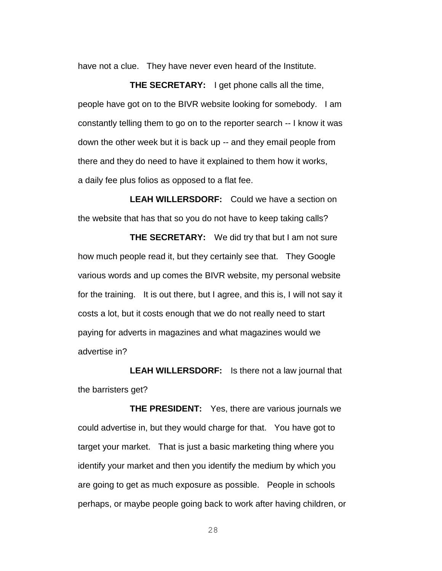have not a clue. They have never even heard of the Institute.

**THE SECRETARY:** I get phone calls all the time, people have got on to the BIVR website looking for somebody. I am constantly telling them to go on to the reporter search -- I know it was down the other week but it is back up -- and they email people from there and they do need to have it explained to them how it works, a daily fee plus folios as opposed to a flat fee.

**LEAH WILLERSDORF:** Could we have a section on the website that has that so you do not have to keep taking calls?

**THE SECRETARY:** We did try that but I am not sure how much people read it, but they certainly see that. They Google various words and up comes the BIVR website, my personal website for the training. It is out there, but I agree, and this is, I will not say it costs a lot, but it costs enough that we do not really need to start paying for adverts in magazines and what magazines would we advertise in?

**LEAH WILLERSDORF:** Is there not a law journal that the barristers get?

**THE PRESIDENT:** Yes, there are various journals we could advertise in, but they would charge for that. You have got to target your market. That is just a basic marketing thing where you identify your market and then you identify the medium by which you are going to get as much exposure as possible. People in schools perhaps, or maybe people going back to work after having children, or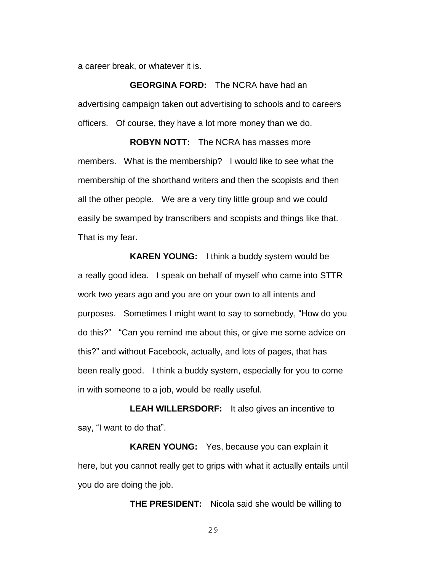a career break, or whatever it is.

**GEORGINA FORD:** The NCRA have had an advertising campaign taken out advertising to schools and to careers officers. Of course, they have a lot more money than we do.

**ROBYN NOTT:** The NCRA has masses more members. What is the membership? I would like to see what the membership of the shorthand writers and then the scopists and then all the other people. We are a very tiny little group and we could easily be swamped by transcribers and scopists and things like that. That is my fear.

**KAREN YOUNG:** I think a buddy system would be a really good idea. I speak on behalf of myself who came into STTR work two years ago and you are on your own to all intents and purposes. Sometimes I might want to say to somebody, "How do you do this?" "Can you remind me about this, or give me some advice on this?" and without Facebook, actually, and lots of pages, that has been really good. I think a buddy system, especially for you to come in with someone to a job, would be really useful.

**LEAH WILLERSDORF:** It also gives an incentive to say, "I want to do that".

**KAREN YOUNG:** Yes, because you can explain it here, but you cannot really get to grips with what it actually entails until you do are doing the job.

**THE PRESIDENT:** Nicola said she would be willing to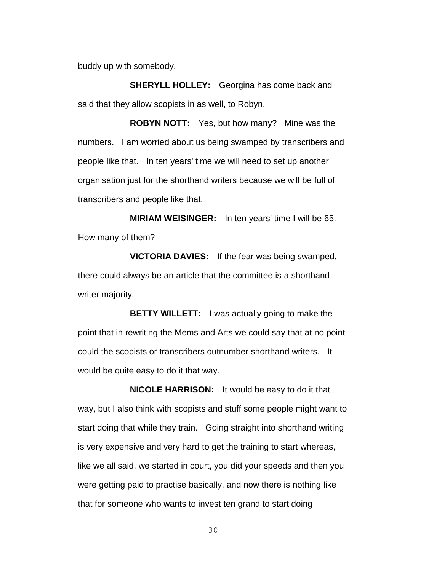buddy up with somebody.

**SHERYLL HOLLEY:** Georgina has come back and said that they allow scopists in as well, to Robyn.

**ROBYN NOTT:** Yes, but how many? Mine was the numbers. I am worried about us being swamped by transcribers and people like that. In ten years' time we will need to set up another organisation just for the shorthand writers because we will be full of transcribers and people like that.

**MIRIAM WEISINGER:** In ten years' time I will be 65. How many of them?

**VICTORIA DAVIES:** If the fear was being swamped, there could always be an article that the committee is a shorthand writer majority.

**BETTY WILLETT:** I was actually going to make the point that in rewriting the Mems and Arts we could say that at no point could the scopists or transcribers outnumber shorthand writers. It would be quite easy to do it that way.

**NICOLE HARRISON:** It would be easy to do it that way, but I also think with scopists and stuff some people might want to start doing that while they train. Going straight into shorthand writing is very expensive and very hard to get the training to start whereas, like we all said, we started in court, you did your speeds and then you were getting paid to practise basically, and now there is nothing like that for someone who wants to invest ten grand to start doing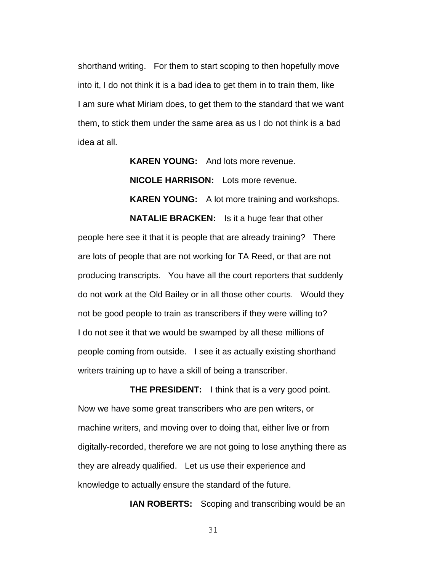shorthand writing. For them to start scoping to then hopefully move into it, I do not think it is a bad idea to get them in to train them, like I am sure what Miriam does, to get them to the standard that we want them, to stick them under the same area as us I do not think is a bad idea at all.

> **KAREN YOUNG:** And lots more revenue. **NICOLE HARRISON:** Lots more revenue. **KAREN YOUNG:** A lot more training and workshops. **NATALIE BRACKEN:** Is it a huge fear that other

people here see it that it is people that are already training? There are lots of people that are not working for TA Reed, or that are not producing transcripts. You have all the court reporters that suddenly do not work at the Old Bailey or in all those other courts. Would they not be good people to train as transcribers if they were willing to? I do not see it that we would be swamped by all these millions of people coming from outside. I see it as actually existing shorthand writers training up to have a skill of being a transcriber.

**THE PRESIDENT:** I think that is a very good point. Now we have some great transcribers who are pen writers, or machine writers, and moving over to doing that, either live or from digitally-recorded, therefore we are not going to lose anything there as they are already qualified. Let us use their experience and knowledge to actually ensure the standard of the future.

**IAN ROBERTS:** Scoping and transcribing would be an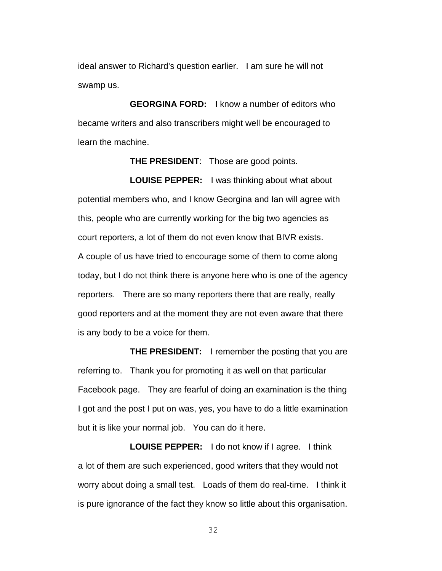ideal answer to Richard's question earlier. I am sure he will not swamp us.

**GEORGINA FORD:** I know a number of editors who became writers and also transcribers might well be encouraged to learn the machine.

**THE PRESIDENT**: Those are good points.

**LOUISE PEPPER:** I was thinking about what about potential members who, and I know Georgina and Ian will agree with this, people who are currently working for the big two agencies as court reporters, a lot of them do not even know that BIVR exists. A couple of us have tried to encourage some of them to come along today, but I do not think there is anyone here who is one of the agency reporters. There are so many reporters there that are really, really good reporters and at the moment they are not even aware that there is any body to be a voice for them.

**THE PRESIDENT:** I remember the posting that you are referring to. Thank you for promoting it as well on that particular Facebook page. They are fearful of doing an examination is the thing I got and the post I put on was, yes, you have to do a little examination but it is like your normal job. You can do it here.

**LOUISE PEPPER:** I do not know if I agree. I think a lot of them are such experienced, good writers that they would not worry about doing a small test. Loads of them do real-time. I think it is pure ignorance of the fact they know so little about this organisation.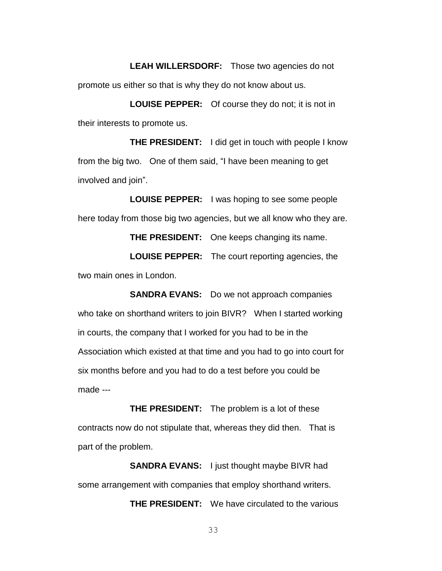**LEAH WILLERSDORF:** Those two agencies do not promote us either so that is why they do not know about us.

**LOUISE PEPPER:** Of course they do not; it is not in their interests to promote us.

**THE PRESIDENT:** I did get in touch with people I know from the big two. One of them said, "I have been meaning to get involved and join".

**LOUISE PEPPER:** I was hoping to see some people here today from those big two agencies, but we all know who they are.

**THE PRESIDENT:** One keeps changing its name.

**LOUISE PEPPER:** The court reporting agencies, the two main ones in London.

**SANDRA EVANS:** Do we not approach companies who take on shorthand writers to join BIVR? When I started working in courts, the company that I worked for you had to be in the Association which existed at that time and you had to go into court for six months before and you had to do a test before you could be made ---

**THE PRESIDENT:** The problem is a lot of these contracts now do not stipulate that, whereas they did then. That is part of the problem.

**SANDRA EVANS:** I just thought maybe BIVR had some arrangement with companies that employ shorthand writers.

**THE PRESIDENT:** We have circulated to the various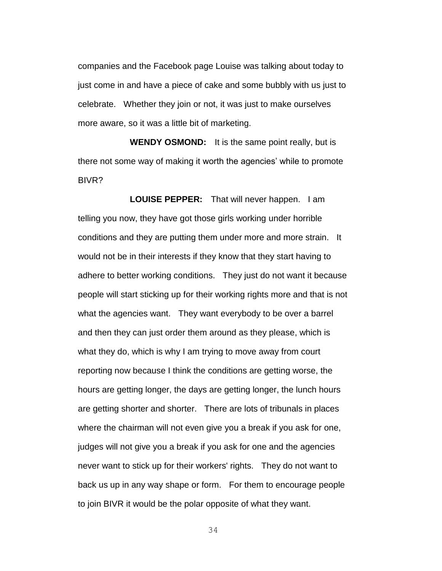companies and the Facebook page Louise was talking about today to just come in and have a piece of cake and some bubbly with us just to celebrate. Whether they join or not, it was just to make ourselves more aware, so it was a little bit of marketing.

**WENDY OSMOND:** It is the same point really, but is there not some way of making it worth the agencies' while to promote BIVR?

**LOUISE PEPPER:** That will never happen. I am telling you now, they have got those girls working under horrible conditions and they are putting them under more and more strain. It would not be in their interests if they know that they start having to adhere to better working conditions. They just do not want it because people will start sticking up for their working rights more and that is not what the agencies want. They want everybody to be over a barrel and then they can just order them around as they please, which is what they do, which is why I am trying to move away from court reporting now because I think the conditions are getting worse, the hours are getting longer, the days are getting longer, the lunch hours are getting shorter and shorter. There are lots of tribunals in places where the chairman will not even give you a break if you ask for one, judges will not give you a break if you ask for one and the agencies never want to stick up for their workers' rights. They do not want to back us up in any way shape or form. For them to encourage people to join BIVR it would be the polar opposite of what they want.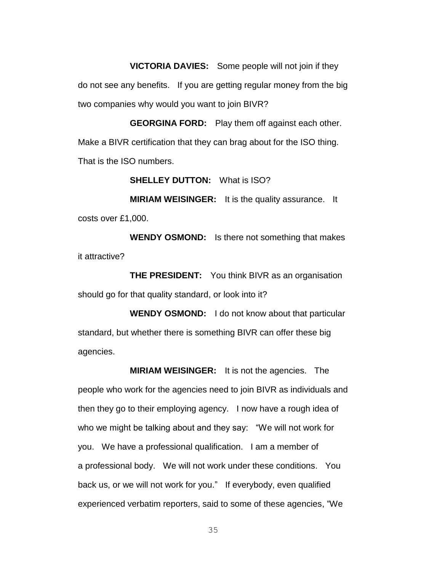**VICTORIA DAVIES:** Some people will not join if they do not see any benefits. If you are getting regular money from the big two companies why would you want to join BIVR?

**GEORGINA FORD:** Play them off against each other. Make a BIVR certification that they can brag about for the ISO thing. That is the ISO numbers.

**SHELLEY DUTTON:** What is ISO?

**MIRIAM WEISINGER:** It is the quality assurance. It costs over £1,000.

**WENDY OSMOND:** Is there not something that makes it attractive?

**THE PRESIDENT:** You think BIVR as an organisation should go for that quality standard, or look into it?

**WENDY OSMOND:** I do not know about that particular standard, but whether there is something BIVR can offer these big agencies.

**MIRIAM WEISINGER:** It is not the agencies. The people who work for the agencies need to join BIVR as individuals and then they go to their employing agency. I now have a rough idea of who we might be talking about and they say: "We will not work for you. We have a professional qualification. I am a member of a professional body. We will not work under these conditions. You back us, or we will not work for you." If everybody, even qualified experienced verbatim reporters, said to some of these agencies, "We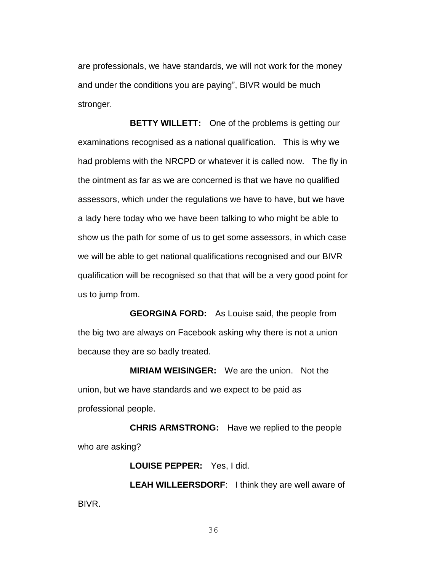are professionals, we have standards, we will not work for the money and under the conditions you are paying", BIVR would be much stronger.

**BETTY WILLETT:** One of the problems is getting our examinations recognised as a national qualification. This is why we had problems with the NRCPD or whatever it is called now. The fly in the ointment as far as we are concerned is that we have no qualified assessors, which under the regulations we have to have, but we have a lady here today who we have been talking to who might be able to show us the path for some of us to get some assessors, in which case we will be able to get national qualifications recognised and our BIVR qualification will be recognised so that that will be a very good point for us to jump from.

**GEORGINA FORD:** As Louise said, the people from the big two are always on Facebook asking why there is not a union because they are so badly treated.

**MIRIAM WEISINGER:** We are the union. Not the union, but we have standards and we expect to be paid as professional people.

**CHRIS ARMSTRONG:** Have we replied to the people who are asking?

**LOUISE PEPPER:** Yes, I did.

**LEAH WILLEERSDORF**: I think they are well aware of BIVR.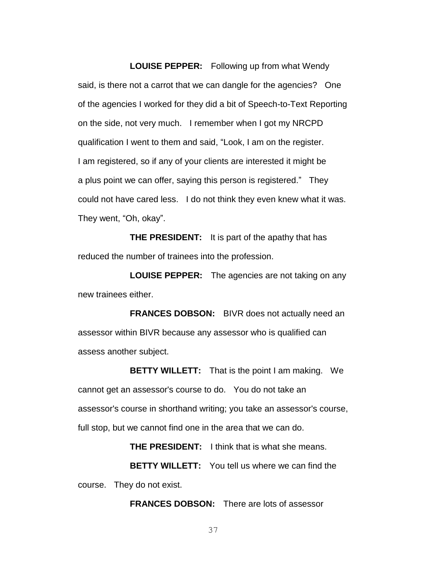**LOUISE PEPPER:** Following up from what Wendy said, is there not a carrot that we can dangle for the agencies? One of the agencies I worked for they did a bit of Speech-to-Text Reporting on the side, not very much. I remember when I got my NRCPD qualification I went to them and said, "Look, I am on the register. I am registered, so if any of your clients are interested it might be a plus point we can offer, saying this person is registered." They could not have cared less. I do not think they even knew what it was. They went, "Oh, okay".

**THE PRESIDENT:** It is part of the apathy that has reduced the number of trainees into the profession.

**LOUISE PEPPER:** The agencies are not taking on any new trainees either.

**FRANCES DOBSON:** BIVR does not actually need an assessor within BIVR because any assessor who is qualified can assess another subject.

**BETTY WILLETT:** That is the point I am making. We cannot get an assessor's course to do. You do not take an assessor's course in shorthand writing; you take an assessor's course, full stop, but we cannot find one in the area that we can do.

**THE PRESIDENT:** I think that is what she means.

**BETTY WILLETT:** You tell us where we can find the course. They do not exist.

**FRANCES DOBSON:** There are lots of assessor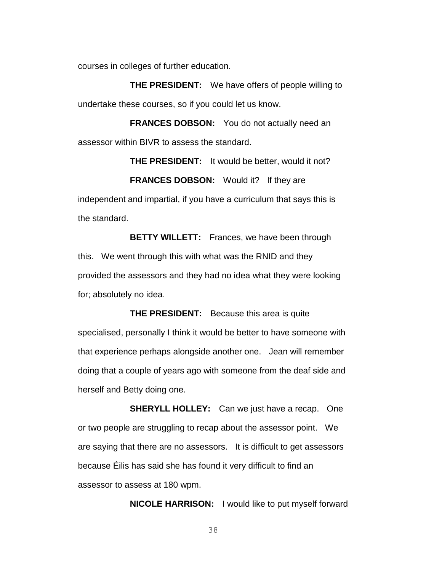courses in colleges of further education.

**THE PRESIDENT:** We have offers of people willing to undertake these courses, so if you could let us know.

**FRANCES DOBSON:** You do not actually need an assessor within BIVR to assess the standard.

**THE PRESIDENT:** It would be better, would it not? **FRANCES DOBSON:** Would it? If they are independent and impartial, if you have a curriculum that says this is the standard.

**BETTY WILLETT:** Frances, we have been through this. We went through this with what was the RNID and they provided the assessors and they had no idea what they were looking for; absolutely no idea.

**THE PRESIDENT:** Because this area is quite specialised, personally I think it would be better to have someone with that experience perhaps alongside another one. Jean will remember doing that a couple of years ago with someone from the deaf side and herself and Betty doing one.

**SHERYLL HOLLEY:** Can we just have a recap. One or two people are struggling to recap about the assessor point. We are saying that there are no assessors. It is difficult to get assessors because Éilis has said she has found it very difficult to find an assessor to assess at 180 wpm.

**NICOLE HARRISON:** I would like to put myself forward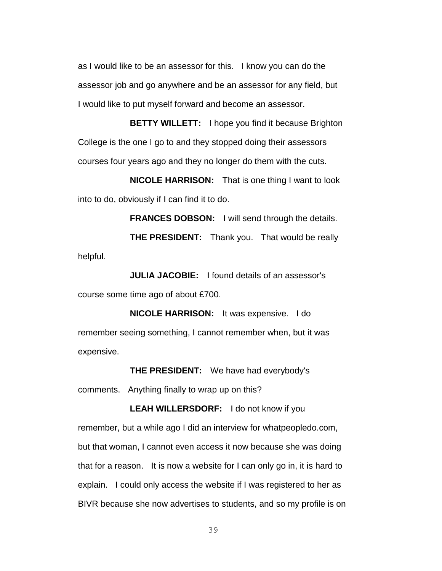as I would like to be an assessor for this. I know you can do the assessor job and go anywhere and be an assessor for any field, but I would like to put myself forward and become an assessor.

**BETTY WILLETT:** I hope you find it because Brighton College is the one I go to and they stopped doing their assessors courses four years ago and they no longer do them with the cuts.

**NICOLE HARRISON:** That is one thing I want to look into to do, obviously if I can find it to do.

**FRANCES DOBSON:** I will send through the details. **THE PRESIDENT:** Thank you. That would be really helpful.

**JULIA JACOBIE:** I found details of an assessor's course some time ago of about £700.

**NICOLE HARRISON:** It was expensive. I do remember seeing something, I cannot remember when, but it was expensive.

**THE PRESIDENT:** We have had everybody's comments. Anything finally to wrap up on this?

**LEAH WILLERSDORF:** I do not know if you remember, but a while ago I did an interview for whatpeopledo.com, but that woman, I cannot even access it now because she was doing that for a reason. It is now a website for I can only go in, it is hard to explain. I could only access the website if I was registered to her as BIVR because she now advertises to students, and so my profile is on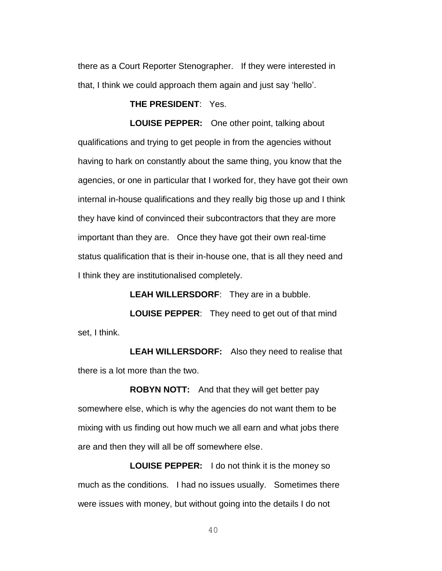there as a Court Reporter Stenographer. If they were interested in that, I think we could approach them again and just say 'hello'.

**THE PRESIDENT**: Yes.

**LOUISE PEPPER:** One other point, talking about qualifications and trying to get people in from the agencies without having to hark on constantly about the same thing, you know that the agencies, or one in particular that I worked for, they have got their own internal in-house qualifications and they really big those up and I think they have kind of convinced their subcontractors that they are more important than they are. Once they have got their own real-time status qualification that is their in-house one, that is all they need and I think they are institutionalised completely.

**LEAH WILLERSDORF**: They are in a bubble.

**LOUISE PEPPER**: They need to get out of that mind set, I think.

**LEAH WILLERSDORF:** Also they need to realise that there is a lot more than the two.

**ROBYN NOTT:** And that they will get better pay somewhere else, which is why the agencies do not want them to be mixing with us finding out how much we all earn and what jobs there are and then they will all be off somewhere else.

**LOUISE PEPPER:** I do not think it is the money so much as the conditions. I had no issues usually. Sometimes there were issues with money, but without going into the details I do not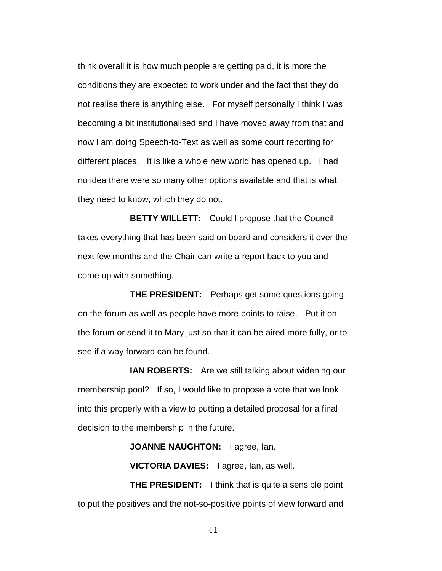think overall it is how much people are getting paid, it is more the conditions they are expected to work under and the fact that they do not realise there is anything else. For myself personally I think I was becoming a bit institutionalised and I have moved away from that and now I am doing Speech-to-Text as well as some court reporting for different places. It is like a whole new world has opened up. I had no idea there were so many other options available and that is what they need to know, which they do not.

**BETTY WILLETT:** Could I propose that the Council takes everything that has been said on board and considers it over the next few months and the Chair can write a report back to you and come up with something.

**THE PRESIDENT:** Perhaps get some questions going on the forum as well as people have more points to raise. Put it on the forum or send it to Mary just so that it can be aired more fully, or to see if a way forward can be found.

**IAN ROBERTS:** Are we still talking about widening our membership pool? If so, I would like to propose a vote that we look into this properly with a view to putting a detailed proposal for a final decision to the membership in the future.

**JOANNE NAUGHTON:** lagree, lan.

**VICTORIA DAVIES:** I agree, Ian, as well.

**THE PRESIDENT:** I think that is quite a sensible point to put the positives and the not-so-positive points of view forward and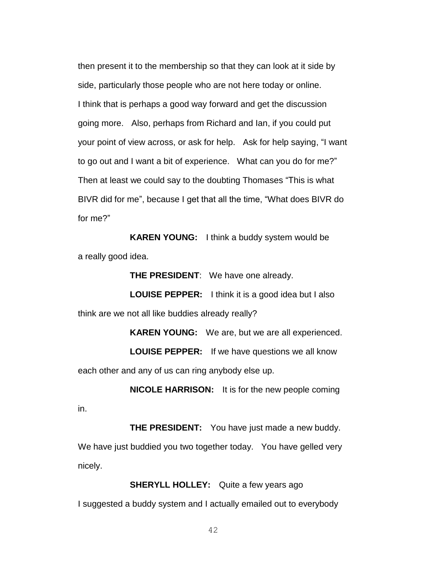then present it to the membership so that they can look at it side by side, particularly those people who are not here today or online. I think that is perhaps a good way forward and get the discussion going more. Also, perhaps from Richard and Ian, if you could put your point of view across, or ask for help. Ask for help saying, "I want to go out and I want a bit of experience. What can you do for me?" Then at least we could say to the doubting Thomases "This is what BIVR did for me", because I get that all the time, "What does BIVR do for me?"

**KAREN YOUNG:** I think a buddy system would be a really good idea.

**THE PRESIDENT**: We have one already.

**LOUISE PEPPER:** I think it is a good idea but I also think are we not all like buddies already really?

**KAREN YOUNG:** We are, but we are all experienced.

**LOUISE PEPPER:** If we have questions we all know each other and any of us can ring anybody else up.

**NICOLE HARRISON:** It is for the new people coming in.

**THE PRESIDENT:** You have just made a new buddy. We have just buddied you two together today. You have gelled very nicely.

**SHERYLL HOLLEY:** Quite a few years ago I suggested a buddy system and I actually emailed out to everybody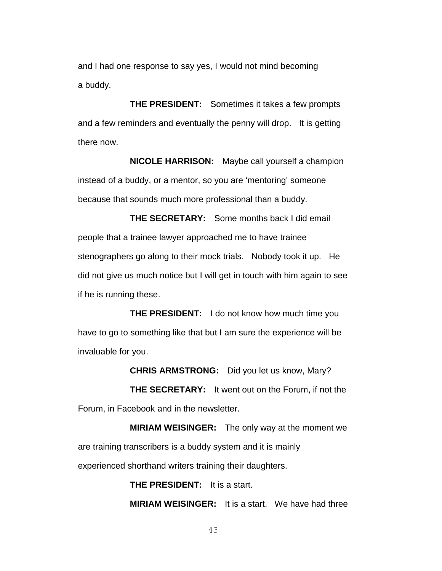and I had one response to say yes, I would not mind becoming a buddy.

**THE PRESIDENT:** Sometimes it takes a few prompts and a few reminders and eventually the penny will drop. It is getting there now.

**NICOLE HARRISON:** Maybe call yourself a champion instead of a buddy, or a mentor, so you are 'mentoring' someone because that sounds much more professional than a buddy.

**THE SECRETARY:** Some months back I did email people that a trainee lawyer approached me to have trainee stenographers go along to their mock trials. Nobody took it up. He did not give us much notice but I will get in touch with him again to see if he is running these.

**THE PRESIDENT:** I do not know how much time you have to go to something like that but I am sure the experience will be invaluable for you.

**CHRIS ARMSTRONG:** Did you let us know, Mary? **THE SECRETARY:** It went out on the Forum, if not the Forum, in Facebook and in the newsletter.

**MIRIAM WEISINGER:** The only way at the moment we are training transcribers is a buddy system and it is mainly experienced shorthand writers training their daughters.

> **THE PRESIDENT:** It is a start. **MIRIAM WEISINGER:** It is a start. We have had three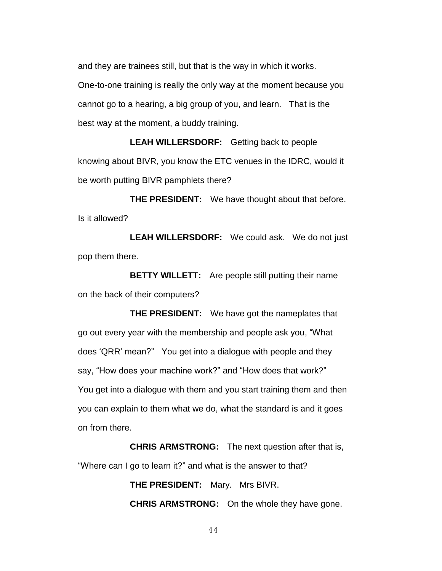and they are trainees still, but that is the way in which it works. One-to-one training is really the only way at the moment because you cannot go to a hearing, a big group of you, and learn. That is the best way at the moment, a buddy training.

**LEAH WILLERSDORF:** Getting back to people knowing about BIVR, you know the ETC venues in the IDRC, would it be worth putting BIVR pamphlets there?

**THE PRESIDENT:** We have thought about that before. Is it allowed?

**LEAH WILLERSDORF:** We could ask. We do not just pop them there.

**BETTY WILLETT:** Are people still putting their name on the back of their computers?

**THE PRESIDENT:** We have got the nameplates that go out every year with the membership and people ask you, "What does 'QRR' mean?" You get into a dialogue with people and they say, "How does your machine work?" and "How does that work?" You get into a dialogue with them and you start training them and then you can explain to them what we do, what the standard is and it goes on from there.

**CHRIS ARMSTRONG:** The next question after that is, "Where can I go to learn it?" and what is the answer to that?

> **THE PRESIDENT:** Mary. Mrs BIVR. **CHRIS ARMSTRONG:** On the whole they have gone.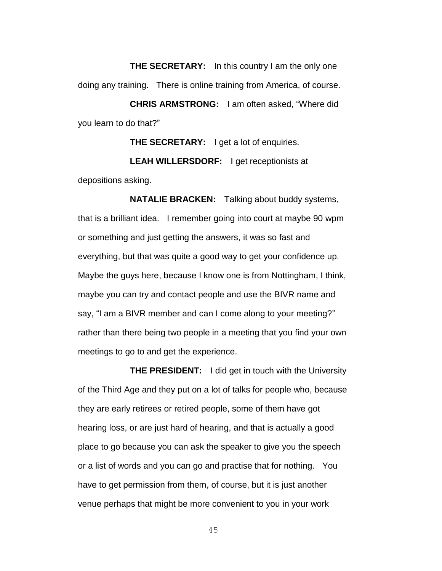**THE SECRETARY:** In this country I am the only one doing any training. There is online training from America, of course.

**CHRIS ARMSTRONG:** I am often asked, "Where did you learn to do that?"

**THE SECRETARY:** I get a lot of enquiries.

**LEAH WILLERSDORF:** I get receptionists at depositions asking.

**NATALIE BRACKEN:** Talking about buddy systems, that is a brilliant idea. I remember going into court at maybe 90 wpm or something and just getting the answers, it was so fast and everything, but that was quite a good way to get your confidence up. Maybe the guys here, because I know one is from Nottingham, I think, maybe you can try and contact people and use the BIVR name and say, "I am a BIVR member and can I come along to your meeting?" rather than there being two people in a meeting that you find your own meetings to go to and get the experience.

**THE PRESIDENT:** I did get in touch with the University of the Third Age and they put on a lot of talks for people who, because they are early retirees or retired people, some of them have got hearing loss, or are just hard of hearing, and that is actually a good place to go because you can ask the speaker to give you the speech or a list of words and you can go and practise that for nothing. You have to get permission from them, of course, but it is just another venue perhaps that might be more convenient to you in your work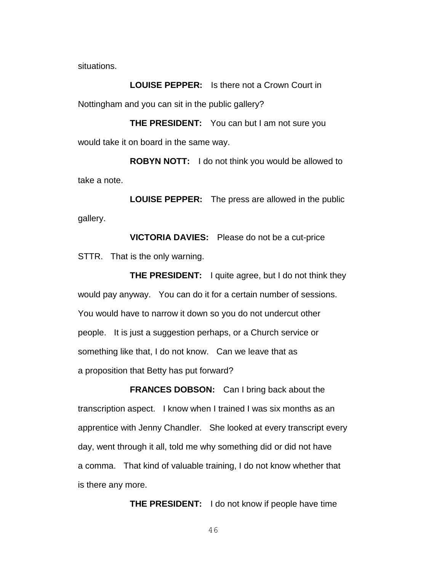situations.

**LOUISE PEPPER:** Is there not a Crown Court in Nottingham and you can sit in the public gallery?

**THE PRESIDENT:** You can but I am not sure you would take it on board in the same way.

**ROBYN NOTT:** I do not think you would be allowed to take a note.

**LOUISE PEPPER:** The press are allowed in the public gallery.

**VICTORIA DAVIES:** Please do not be a cut-price STTR. That is the only warning.

**THE PRESIDENT:** I quite agree, but I do not think they would pay anyway. You can do it for a certain number of sessions. You would have to narrow it down so you do not undercut other people. It is just a suggestion perhaps, or a Church service or something like that, I do not know. Can we leave that as a proposition that Betty has put forward?

**FRANCES DOBSON:** Can I bring back about the transcription aspect. I know when I trained I was six months as an apprentice with Jenny Chandler. She looked at every transcript every day, went through it all, told me why something did or did not have a comma. That kind of valuable training, I do not know whether that is there any more.

**THE PRESIDENT:** I do not know if people have time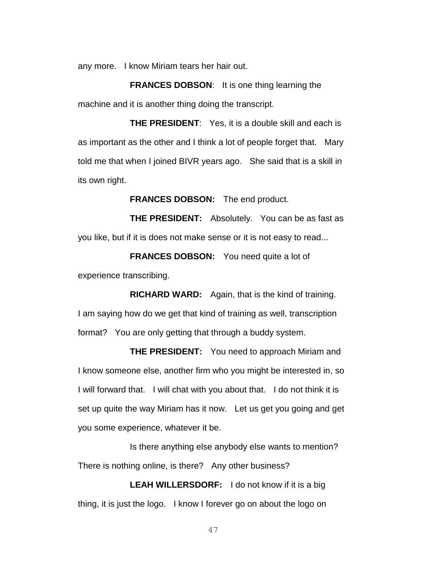any more. I know Miriam tears her hair out.

**FRANCES DOBSON**: It is one thing learning the machine and it is another thing doing the transcript.

**THE PRESIDENT**: Yes, it is a double skill and each is as important as the other and I think a lot of people forget that. Mary told me that when I joined BIVR years ago. She said that is a skill in its own right.

**FRANCES DOBSON:** The end product.

**THE PRESIDENT:** Absolutely. You can be as fast as you like, but if it is does not make sense or it is not easy to read...

**FRANCES DOBSON:** You need quite a lot of experience transcribing.

**RICHARD WARD:** Again, that is the kind of training. I am saying how do we get that kind of training as well, transcription format? You are only getting that through a buddy system.

**THE PRESIDENT:** You need to approach Miriam and I know someone else, another firm who you might be interested in, so I will forward that. I will chat with you about that. I do not think it is set up quite the way Miriam has it now. Let us get you going and get you some experience, whatever it be.

Is there anything else anybody else wants to mention? There is nothing online, is there? Any other business?

**LEAH WILLERSDORF:** I do not know if it is a big thing, it is just the logo. I know I forever go on about the logo on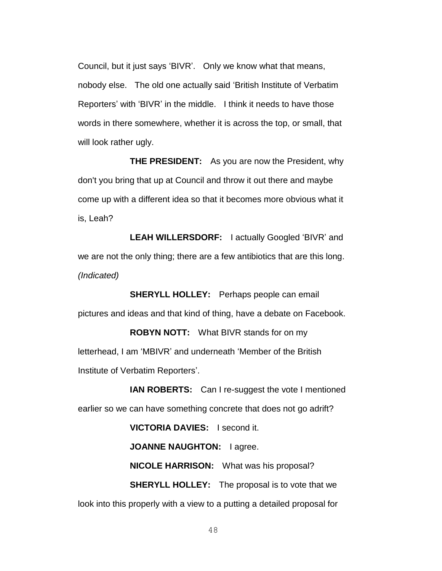Council, but it just says 'BIVR'. Only we know what that means, nobody else. The old one actually said 'British Institute of Verbatim Reporters' with 'BIVR' in the middle. I think it needs to have those words in there somewhere, whether it is across the top, or small, that will look rather ugly.

**THE PRESIDENT:** As you are now the President, why don't you bring that up at Council and throw it out there and maybe come up with a different idea so that it becomes more obvious what it is, Leah?

**LEAH WILLERSDORF:** I actually Googled 'BIVR' and we are not the only thing; there are a few antibiotics that are this long. *(Indicated)*

**SHERYLL HOLLEY:** Perhaps people can email pictures and ideas and that kind of thing, have a debate on Facebook.

**ROBYN NOTT:** What BIVR stands for on my letterhead, I am 'MBIVR' and underneath 'Member of the British Institute of Verbatim Reporters'.

**IAN ROBERTS:** Can I re-suggest the vote I mentioned earlier so we can have something concrete that does not go adrift?

**VICTORIA DAVIES:** I second it.

**JOANNE NAUGHTON:** I agree.

**NICOLE HARRISON:** What was his proposal?

**SHERYLL HOLLEY:** The proposal is to vote that we look into this properly with a view to a putting a detailed proposal for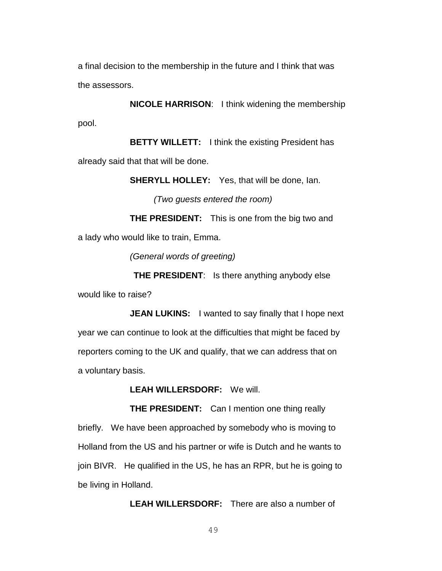a final decision to the membership in the future and I think that was the assessors.

**NICOLE HARRISON**: I think widening the membership pool.

**BETTY WILLETT:** I think the existing President has already said that that will be done.

**SHERYLL HOLLEY:** Yes, that will be done, Ian.

*(Two guests entered the room)*

**THE PRESIDENT:** This is one from the big two and a lady who would like to train, Emma.

*(General words of greeting)*

**THE PRESIDENT**: Is there anything anybody else would like to raise?

**JEAN LUKINS:** I wanted to say finally that I hope next year we can continue to look at the difficulties that might be faced by reporters coming to the UK and qualify, that we can address that on a voluntary basis.

**LEAH WILLERSDORF:** We will.

**THE PRESIDENT:** Can I mention one thing really briefly. We have been approached by somebody who is moving to Holland from the US and his partner or wife is Dutch and he wants to join BIVR. He qualified in the US, he has an RPR, but he is going to be living in Holland.

**LEAH WILLERSDORF:** There are also a number of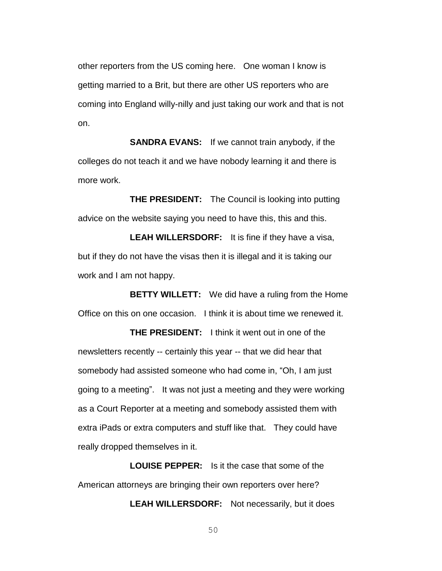other reporters from the US coming here. One woman I know is getting married to a Brit, but there are other US reporters who are coming into England willy-nilly and just taking our work and that is not on.

**SANDRA EVANS:** If we cannot train anybody, if the colleges do not teach it and we have nobody learning it and there is more work.

**THE PRESIDENT:** The Council is looking into putting advice on the website saying you need to have this, this and this.

**LEAH WILLERSDORF:** It is fine if they have a visa, but if they do not have the visas then it is illegal and it is taking our work and I am not happy.

**BETTY WILLETT:** We did have a ruling from the Home Office on this on one occasion. I think it is about time we renewed it.

**THE PRESIDENT:** I think it went out in one of the newsletters recently -- certainly this year -- that we did hear that somebody had assisted someone who had come in, "Oh, I am just going to a meeting". It was not just a meeting and they were working as a Court Reporter at a meeting and somebody assisted them with extra iPads or extra computers and stuff like that. They could have really dropped themselves in it.

**LOUISE PEPPER:** Is it the case that some of the American attorneys are bringing their own reporters over here?

**LEAH WILLERSDORF:** Not necessarily, but it does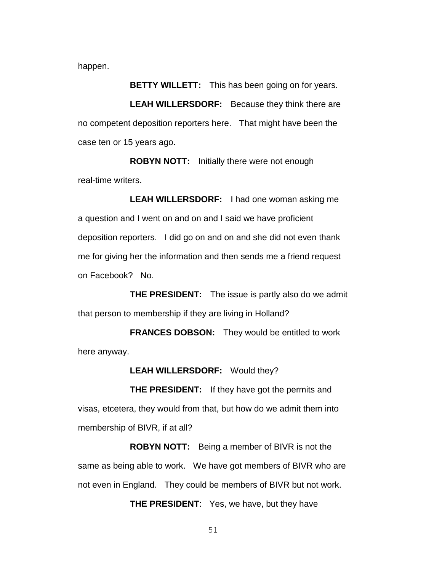happen.

**BETTY WILLETT:** This has been going on for years.

**LEAH WILLERSDORF:** Because they think there are no competent deposition reporters here. That might have been the case ten or 15 years ago.

**ROBYN NOTT:** Initially there were not enough real-time writers.

**LEAH WILLERSDORF:** I had one woman asking me a question and I went on and on and I said we have proficient deposition reporters. I did go on and on and she did not even thank me for giving her the information and then sends me a friend request on Facebook? No.

**THE PRESIDENT:** The issue is partly also do we admit that person to membership if they are living in Holland?

**FRANCES DOBSON:** They would be entitled to work here anyway.

**LEAH WILLERSDORF:** Would they?

**THE PRESIDENT:** If they have got the permits and visas, etcetera, they would from that, but how do we admit them into membership of BIVR, if at all?

**ROBYN NOTT:** Being a member of BIVR is not the same as being able to work. We have got members of BIVR who are not even in England. They could be members of BIVR but not work.

**THE PRESIDENT**: Yes, we have, but they have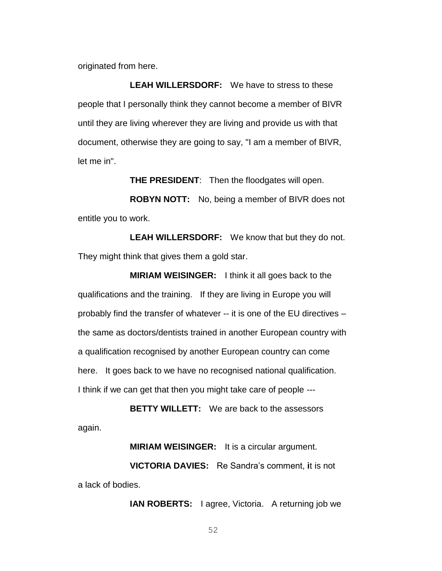originated from here.

**LEAH WILLERSDORF:** We have to stress to these people that I personally think they cannot become a member of BIVR until they are living wherever they are living and provide us with that document, otherwise they are going to say, "I am a member of BIVR, let me in".

**THE PRESIDENT**: Then the floodgates will open.

**ROBYN NOTT:** No, being a member of BIVR does not entitle you to work.

**LEAH WILLERSDORF:** We know that but they do not. They might think that gives them a gold star.

**MIRIAM WEISINGER:** I think it all goes back to the qualifications and the training. If they are living in Europe you will probably find the transfer of whatever -- it is one of the EU directives – the same as doctors/dentists trained in another European country with a qualification recognised by another European country can come here. It goes back to we have no recognised national qualification. I think if we can get that then you might take care of people ---

**BETTY WILLETT:** We are back to the assessors again.

**MIRIAM WEISINGER:** It is a circular argument.

**VICTORIA DAVIES:** Re Sandra's comment, **i**t is not a lack of bodies.

**IAN ROBERTS:** I agree, Victoria. A returning job we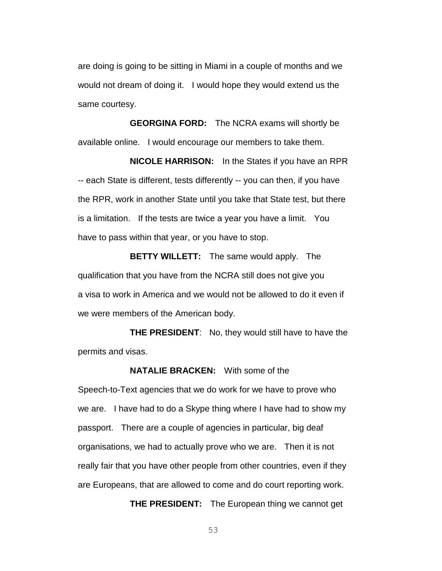are doing is going to be sitting in Miami in a couple of months and we would not dream of doing it. I would hope they would extend us the same courtesy.

**GEORGINA FORD:** The NCRA exams will shortly be available online. I would encourage our members to take them.

**NICOLE HARRISON:** In the States if you have an RPR -- each State is different, tests differently -- you can then, if you have the RPR, work in another State until you take that State test, but there is a limitation. If the tests are twice a year you have a limit. You have to pass within that year, or you have to stop.

**BETTY WILLETT:** The same would apply. The qualification that you have from the NCRA still does not give you a visa to work in America and we would not be allowed to do it even if we were members of the American body.

**THE PRESIDENT**: No, they would still have to have the permits and visas.

**NATALIE BRACKEN:** With some of the Speech-to-Text agencies that we do work for we have to prove who we are. I have had to do a Skype thing where I have had to show my passport. There are a couple of agencies in particular, big deaf organisations, we had to actually prove who we are. Then it is not really fair that you have other people from other countries, even if they are Europeans, that are allowed to come and do court reporting work.

**THE PRESIDENT:** The European thing we cannot get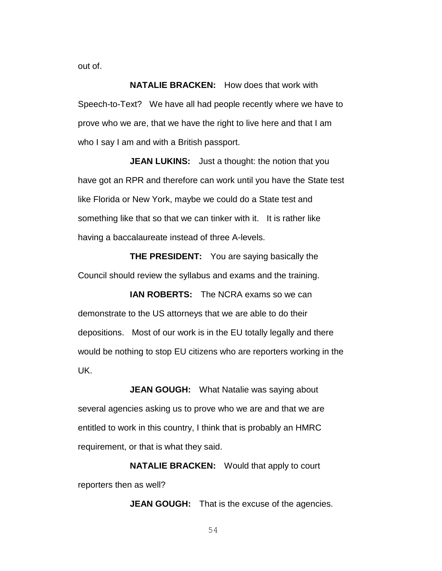out of.

**NATALIE BRACKEN:** How does that work with Speech-to-Text? We have all had people recently where we have to prove who we are, that we have the right to live here and that I am who I say I am and with a British passport.

**JEAN LUKINS:** Just a thought: the notion that you have got an RPR and therefore can work until you have the State test like Florida or New York, maybe we could do a State test and something like that so that we can tinker with it. It is rather like having a baccalaureate instead of three A-levels.

**THE PRESIDENT:** You are saying basically the Council should review the syllabus and exams and the training.

**IAN ROBERTS:** The NCRA exams so we can demonstrate to the US attorneys that we are able to do their depositions. Most of our work is in the EU totally legally and there would be nothing to stop EU citizens who are reporters working in the UK.

**JEAN GOUGH:** What Natalie was saying about several agencies asking us to prove who we are and that we are entitled to work in this country, I think that is probably an HMRC requirement, or that is what they said.

**NATALIE BRACKEN:** Would that apply to court reporters then as well?

**JEAN GOUGH:** That is the excuse of the agencies.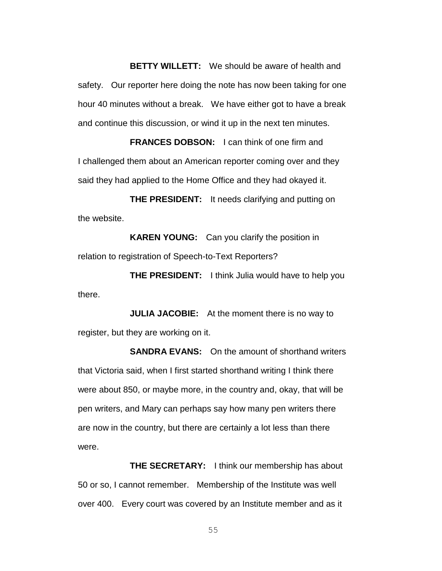**BETTY WILLETT:** We should be aware of health and safety. Our reporter here doing the note has now been taking for one hour 40 minutes without a break. We have either got to have a break and continue this discussion, or wind it up in the next ten minutes.

**FRANCES DOBSON:** I can think of one firm and I challenged them about an American reporter coming over and they said they had applied to the Home Office and they had okayed it.

**THE PRESIDENT:** It needs clarifying and putting on the website.

**KAREN YOUNG:** Can you clarify the position in relation to registration of Speech-to-Text Reporters?

**THE PRESIDENT:** I think Julia would have to help you there.

**JULIA JACOBIE:** At the moment there is no way to register, but they are working on it.

**SANDRA EVANS:** On the amount of shorthand writers that Victoria said, when I first started shorthand writing I think there were about 850, or maybe more, in the country and, okay, that will be pen writers, and Mary can perhaps say how many pen writers there are now in the country, but there are certainly a lot less than there were.

**THE SECRETARY:** I think our membership has about 50 or so, I cannot remember. Membership of the Institute was well over 400. Every court was covered by an Institute member and as it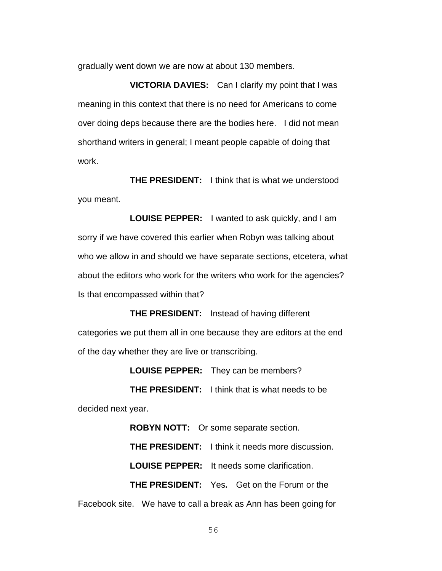gradually went down we are now at about 130 members.

**VICTORIA DAVIES:** Can I clarify my point that I was meaning in this context that there is no need for Americans to come over doing deps because there are the bodies here. I did not mean shorthand writers in general; I meant people capable of doing that work.

**THE PRESIDENT:** I think that is what we understood you meant.

**LOUISE PEPPER:** I wanted to ask quickly, and I am sorry if we have covered this earlier when Robyn was talking about who we allow in and should we have separate sections, etcetera, what about the editors who work for the writers who work for the agencies? Is that encompassed within that?

**THE PRESIDENT:** Instead of having different categories we put them all in one because they are editors at the end of the day whether they are live or transcribing.

**LOUISE PEPPER:** They can be members?

**THE PRESIDENT:** I think that is what needs to be decided next year.

**ROBYN NOTT:** Or some separate section. **THE PRESIDENT:** I think it needs more discussion. **LOUISE PEPPER:** It needs some clarification. **THE PRESIDENT:** Yes**.** Get on the Forum or the Facebook site. We have to call a break as Ann has been going for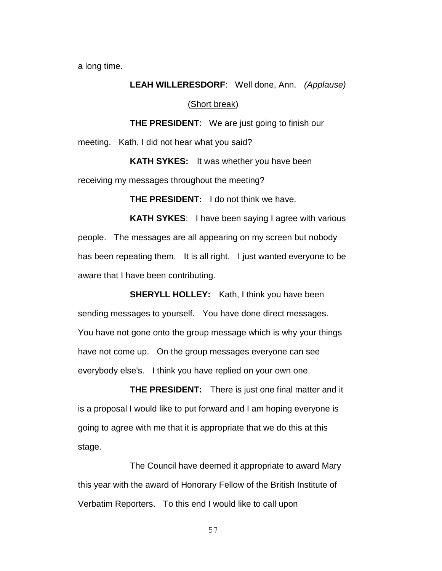a long time.

### **LEAH WILLERESDORF**: Well done, Ann. *(Applause)*

### (Short break)

**THE PRESIDENT**: We are just going to finish our

meeting. Kath, I did not hear what you said?

**KATH SYKES:** It was whether you have been receiving my messages throughout the meeting?

**THE PRESIDENT:** I do not think we have.

**KATH SYKES**: I have been saying I agree with various people. The messages are all appearing on my screen but nobody has been repeating them. It is all right. I just wanted everyone to be aware that I have been contributing.

**SHERYLL HOLLEY:** Kath, I think you have been sending messages to yourself. You have done direct messages. You have not gone onto the group message which is why your things have not come up. On the group messages everyone can see everybody else's. I think you have replied on your own one.

**THE PRESIDENT:** There is just one final matter and it is a proposal I would like to put forward and I am hoping everyone is going to agree with me that it is appropriate that we do this at this stage.

The Council have deemed it appropriate to award Mary this year with the award of Honorary Fellow of the British Institute of Verbatim Reporters. To this end I would like to call upon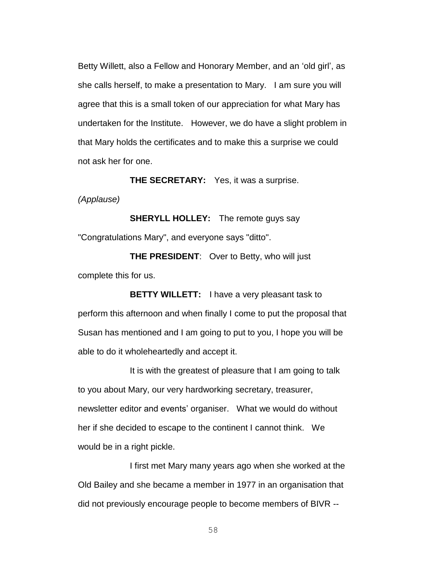Betty Willett, also a Fellow and Honorary Member, and an 'old girl', as she calls herself, to make a presentation to Mary. I am sure you will agree that this is a small token of our appreciation for what Mary has undertaken for the Institute. However, we do have a slight problem in that Mary holds the certificates and to make this a surprise we could not ask her for one.

**THE SECRETARY:** Yes, it was a surprise.

*(Applause)*

**SHERYLL HOLLEY:** The remote guys say "Congratulations Mary", and everyone says "ditto".

**THE PRESIDENT**: Over to Betty, who will just complete this for us.

**BETTY WILLETT:** I have a very pleasant task to perform this afternoon and when finally I come to put the proposal that Susan has mentioned and I am going to put to you, I hope you will be able to do it wholeheartedly and accept it.

It is with the greatest of pleasure that I am going to talk to you about Mary, our very hardworking secretary, treasurer, newsletter editor and events' organiser. What we would do without her if she decided to escape to the continent I cannot think. We would be in a right pickle.

I first met Mary many years ago when she worked at the Old Bailey and she became a member in 1977 in an organisation that did not previously encourage people to become members of BIVR --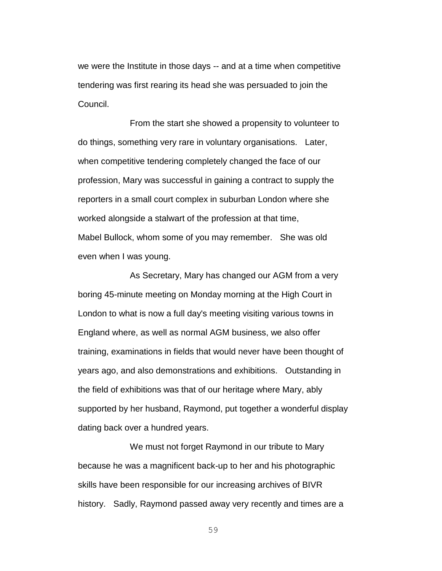we were the Institute in those days -- and at a time when competitive tendering was first rearing its head she was persuaded to join the Council.

From the start she showed a propensity to volunteer to do things, something very rare in voluntary organisations. Later, when competitive tendering completely changed the face of our profession, Mary was successful in gaining a contract to supply the reporters in a small court complex in suburban London where she worked alongside a stalwart of the profession at that time, Mabel Bullock, whom some of you may remember. She was old even when I was young.

As Secretary, Mary has changed our AGM from a very boring 45-minute meeting on Monday morning at the High Court in London to what is now a full day's meeting visiting various towns in England where, as well as normal AGM business, we also offer training, examinations in fields that would never have been thought of years ago, and also demonstrations and exhibitions. Outstanding in the field of exhibitions was that of our heritage where Mary, ably supported by her husband, Raymond, put together a wonderful display dating back over a hundred years.

We must not forget Raymond in our tribute to Mary because he was a magnificent back-up to her and his photographic skills have been responsible for our increasing archives of BIVR history. Sadly, Raymond passed away very recently and times are a